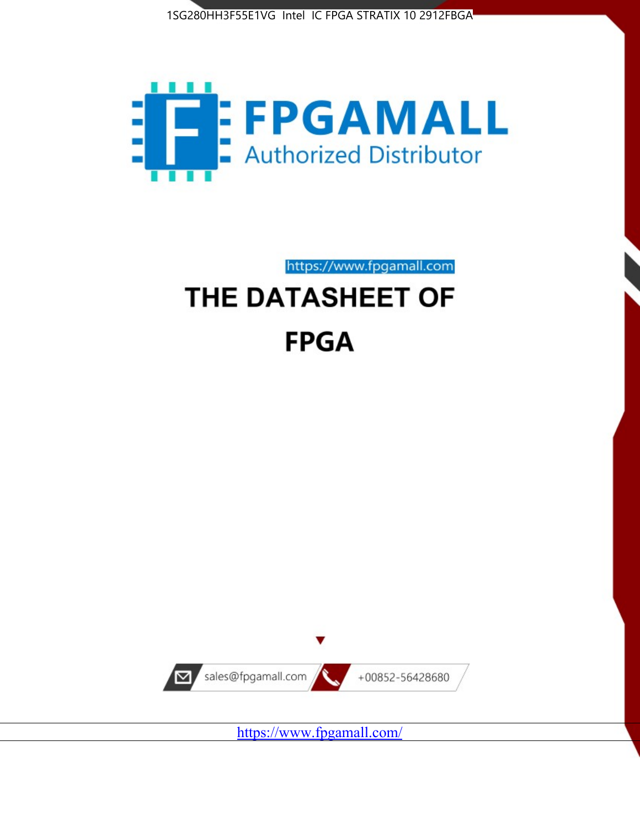



https://www.fpgamall.com

# THE DATASHEET OF **FPGA**



<https://www.fpgamall.com/>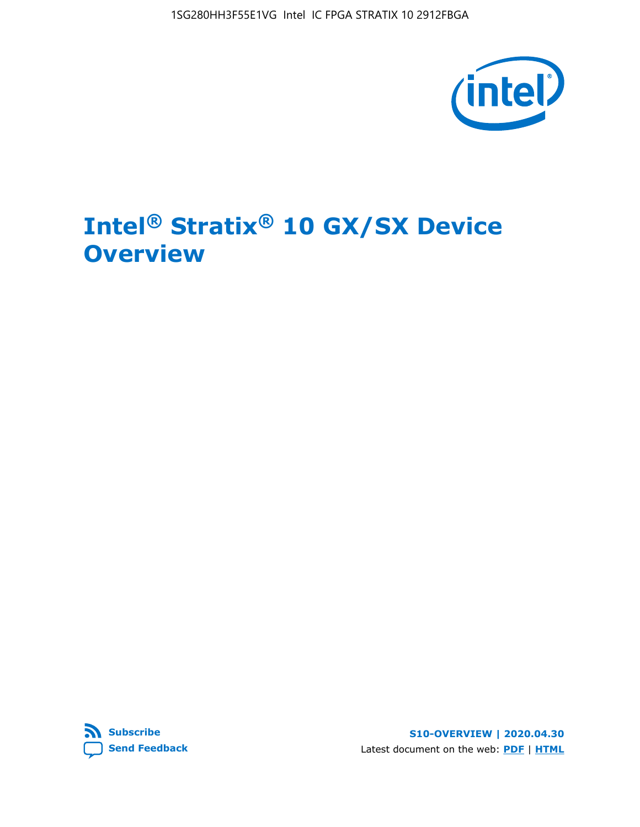

# **Intel® Stratix® 10 GX/SX Device Overview**



**S10-OVERVIEW | 2020.04.30** Latest document on the web: **[PDF](https://www.intel.com/content/dam/www/programmable/us/en/pdfs/literature/hb/stratix-10/s10-overview.pdf)** | **[HTML](https://www.intel.com/content/www/us/en/programmable/documentation/joc1442261161666.html)**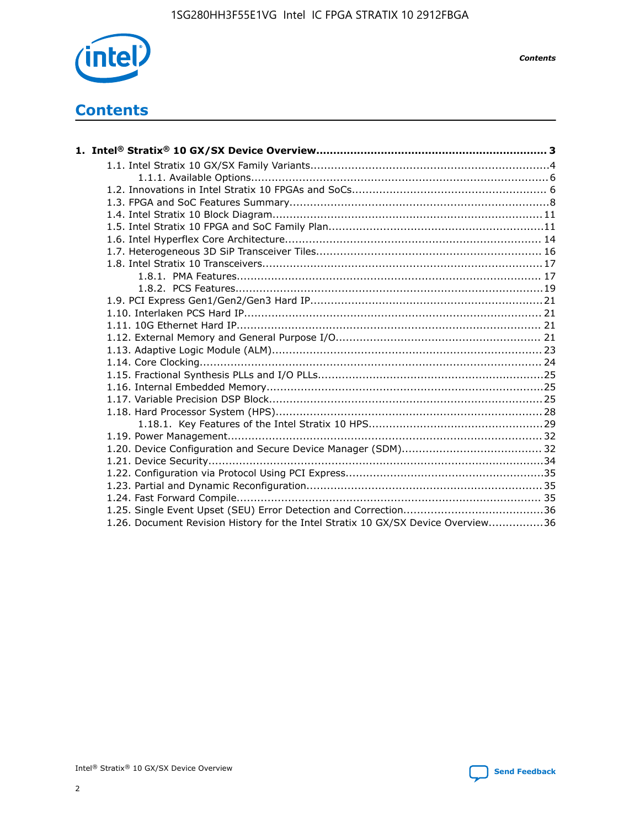

*Contents*

# **Contents**

| 1.26. Document Revision History for the Intel Stratix 10 GX/SX Device Overview36 |  |
|----------------------------------------------------------------------------------|--|

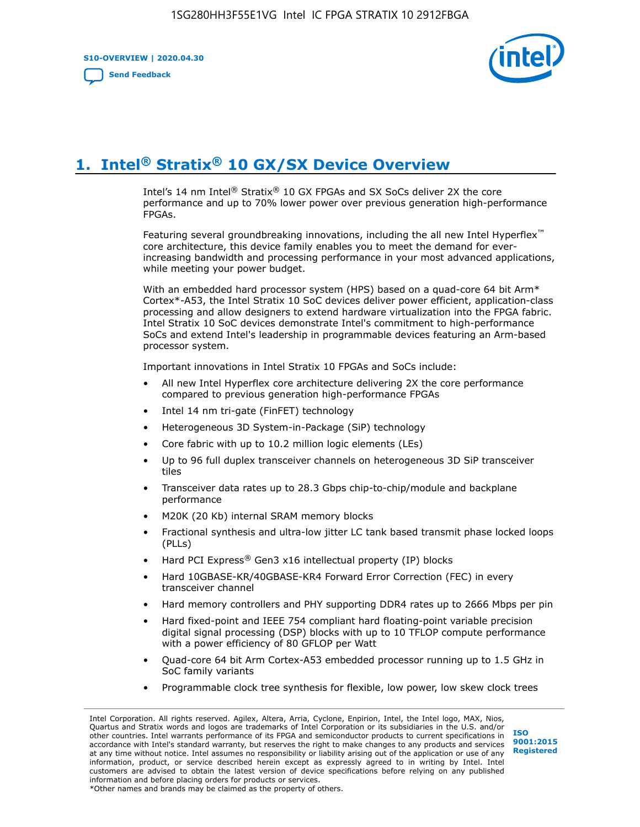**S10-OVERVIEW | 2020.04.30**

**[Send Feedback](mailto:FPGAtechdocfeedback@intel.com?subject=Feedback%20on%20Intel%20Stratix%2010%20GX/SX%20Device%20Overview%20(S10-OVERVIEW%202020.04.30)&body=We%20appreciate%20your%20feedback.%20In%20your%20comments,%20also%20specify%20the%20page%20number%20or%20paragraph.%20Thank%20you.)**



# **1. Intel® Stratix® 10 GX/SX Device Overview**

Intel's 14 nm Intel® Stratix® 10 GX FPGAs and SX SoCs deliver 2X the core performance and up to 70% lower power over previous generation high-performance FPGAs.

Featuring several groundbreaking innovations, including the all new Intel Hyperflex™ core architecture, this device family enables you to meet the demand for everincreasing bandwidth and processing performance in your most advanced applications, while meeting your power budget.

With an embedded hard processor system (HPS) based on a quad-core 64 bit Arm\* Cortex\*-A53, the Intel Stratix 10 SoC devices deliver power efficient, application-class processing and allow designers to extend hardware virtualization into the FPGA fabric. Intel Stratix 10 SoC devices demonstrate Intel's commitment to high-performance SoCs and extend Intel's leadership in programmable devices featuring an Arm-based processor system.

Important innovations in Intel Stratix 10 FPGAs and SoCs include:

- All new Intel Hyperflex core architecture delivering 2X the core performance compared to previous generation high-performance FPGAs
- Intel 14 nm tri-gate (FinFET) technology
- Heterogeneous 3D System-in-Package (SiP) technology
- Core fabric with up to 10.2 million logic elements (LEs)
- Up to 96 full duplex transceiver channels on heterogeneous 3D SiP transceiver tiles
- Transceiver data rates up to 28.3 Gbps chip-to-chip/module and backplane performance
- M20K (20 Kb) internal SRAM memory blocks
- Fractional synthesis and ultra-low jitter LC tank based transmit phase locked loops (PLLs)
- Hard PCI Express<sup>®</sup> Gen3 x16 intellectual property (IP) blocks
- Hard 10GBASE-KR/40GBASE-KR4 Forward Error Correction (FEC) in every transceiver channel
- Hard memory controllers and PHY supporting DDR4 rates up to 2666 Mbps per pin
- Hard fixed-point and IEEE 754 compliant hard floating-point variable precision digital signal processing (DSP) blocks with up to 10 TFLOP compute performance with a power efficiency of 80 GFLOP per Watt
- Quad-core 64 bit Arm Cortex-A53 embedded processor running up to 1.5 GHz in SoC family variants
- Programmable clock tree synthesis for flexible, low power, low skew clock trees

Intel Corporation. All rights reserved. Agilex, Altera, Arria, Cyclone, Enpirion, Intel, the Intel logo, MAX, Nios, Quartus and Stratix words and logos are trademarks of Intel Corporation or its subsidiaries in the U.S. and/or other countries. Intel warrants performance of its FPGA and semiconductor products to current specifications in accordance with Intel's standard warranty, but reserves the right to make changes to any products and services at any time without notice. Intel assumes no responsibility or liability arising out of the application or use of any information, product, or service described herein except as expressly agreed to in writing by Intel. Intel customers are advised to obtain the latest version of device specifications before relying on any published information and before placing orders for products or services. \*Other names and brands may be claimed as the property of others.

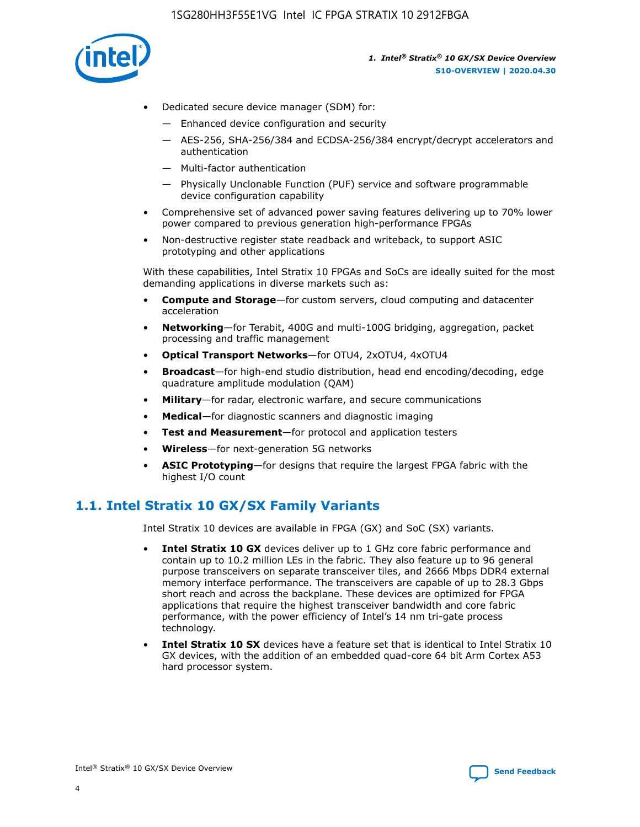

- Dedicated secure device manager (SDM) for:
	- Enhanced device configuration and security
	- AES-256, SHA-256/384 and ECDSA-256/384 encrypt/decrypt accelerators and authentication
	- Multi-factor authentication
	- Physically Unclonable Function (PUF) service and software programmable device configuration capability
- Comprehensive set of advanced power saving features delivering up to 70% lower power compared to previous generation high-performance FPGAs
- Non-destructive register state readback and writeback, to support ASIC prototyping and other applications

With these capabilities, Intel Stratix 10 FPGAs and SoCs are ideally suited for the most demanding applications in diverse markets such as:

- **Compute and Storage**—for custom servers, cloud computing and datacenter acceleration
- **Networking**—for Terabit, 400G and multi-100G bridging, aggregation, packet processing and traffic management
- **Optical Transport Networks**—for OTU4, 2xOTU4, 4xOTU4
- **Broadcast**—for high-end studio distribution, head end encoding/decoding, edge quadrature amplitude modulation (QAM)
- **Military**—for radar, electronic warfare, and secure communications
- **Medical**—for diagnostic scanners and diagnostic imaging
- **Test and Measurement**—for protocol and application testers
- **Wireless**—for next-generation 5G networks
- **ASIC Prototyping**—for designs that require the largest FPGA fabric with the highest I/O count

# **1.1. Intel Stratix 10 GX/SX Family Variants**

Intel Stratix 10 devices are available in FPGA (GX) and SoC (SX) variants.

- **Intel Stratix 10 GX** devices deliver up to 1 GHz core fabric performance and contain up to 10.2 million LEs in the fabric. They also feature up to 96 general purpose transceivers on separate transceiver tiles, and 2666 Mbps DDR4 external memory interface performance. The transceivers are capable of up to 28.3 Gbps short reach and across the backplane. These devices are optimized for FPGA applications that require the highest transceiver bandwidth and core fabric performance, with the power efficiency of Intel's 14 nm tri-gate process technology.
- **Intel Stratix 10 SX** devices have a feature set that is identical to Intel Stratix 10 GX devices, with the addition of an embedded quad-core 64 bit Arm Cortex A53 hard processor system.

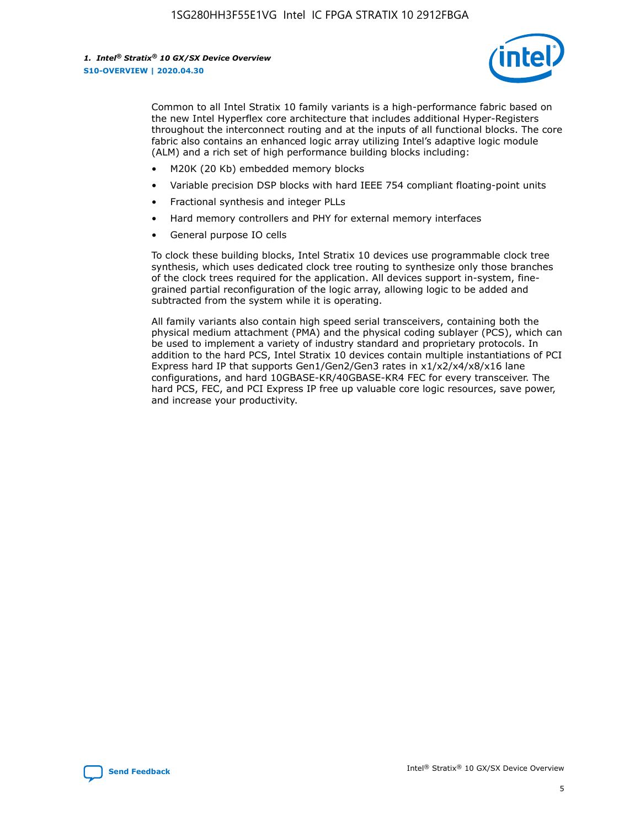

Common to all Intel Stratix 10 family variants is a high-performance fabric based on the new Intel Hyperflex core architecture that includes additional Hyper-Registers throughout the interconnect routing and at the inputs of all functional blocks. The core fabric also contains an enhanced logic array utilizing Intel's adaptive logic module (ALM) and a rich set of high performance building blocks including:

- M20K (20 Kb) embedded memory blocks
- Variable precision DSP blocks with hard IEEE 754 compliant floating-point units
- Fractional synthesis and integer PLLs
- Hard memory controllers and PHY for external memory interfaces
- General purpose IO cells

To clock these building blocks, Intel Stratix 10 devices use programmable clock tree synthesis, which uses dedicated clock tree routing to synthesize only those branches of the clock trees required for the application. All devices support in-system, finegrained partial reconfiguration of the logic array, allowing logic to be added and subtracted from the system while it is operating.

All family variants also contain high speed serial transceivers, containing both the physical medium attachment (PMA) and the physical coding sublayer (PCS), which can be used to implement a variety of industry standard and proprietary protocols. In addition to the hard PCS, Intel Stratix 10 devices contain multiple instantiations of PCI Express hard IP that supports Gen1/Gen2/Gen3 rates in x1/x2/x4/x8/x16 lane configurations, and hard 10GBASE-KR/40GBASE-KR4 FEC for every transceiver. The hard PCS, FEC, and PCI Express IP free up valuable core logic resources, save power, and increase your productivity.

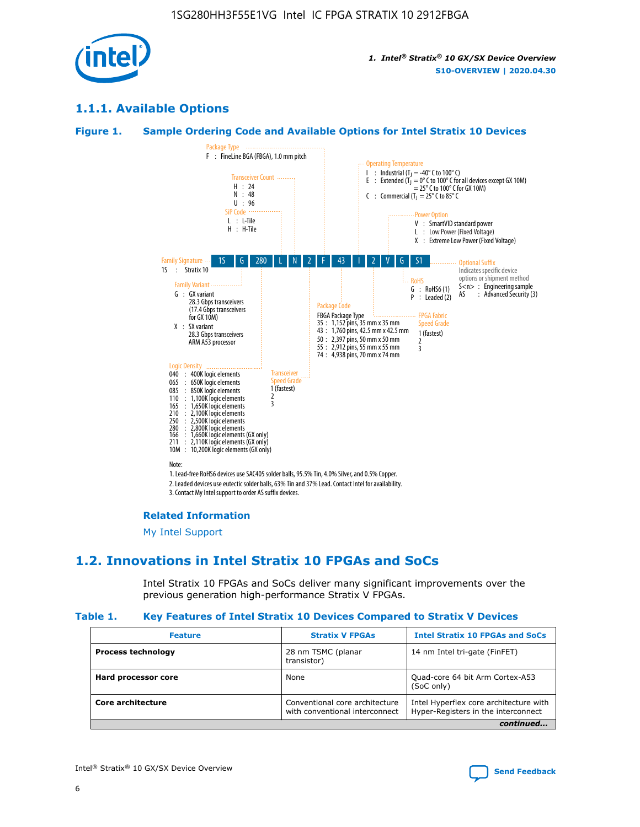

# **1.1.1. Available Options**

#### **Figure 1. Sample Ordering Code and Available Options for Intel Stratix 10 Devices**



3. Contact My Intel support to order AS suffix devices.

#### **Related Information**

[My Intel Support](https://www.intel.com/content/www/us/en/programmable/my-intel/mal-home.html)

# **1.2. Innovations in Intel Stratix 10 FPGAs and SoCs**

Intel Stratix 10 FPGAs and SoCs deliver many significant improvements over the previous generation high-performance Stratix V FPGAs.

#### **Table 1. Key Features of Intel Stratix 10 Devices Compared to Stratix V Devices**

| <b>Feature</b>            | <b>Stratix V FPGAs</b>                                           | <b>Intel Stratix 10 FPGAs and SoCs</b>                                        |  |
|---------------------------|------------------------------------------------------------------|-------------------------------------------------------------------------------|--|
| <b>Process technology</b> | 28 nm TSMC (planar<br>transistor)                                | 14 nm Intel tri-gate (FinFET)                                                 |  |
| Hard processor core       | None                                                             | Quad-core 64 bit Arm Cortex-A53<br>(SoC only)                                 |  |
| Core architecture         | Conventional core architecture<br>with conventional interconnect | Intel Hyperflex core architecture with<br>Hyper-Registers in the interconnect |  |
|                           |                                                                  | continued                                                                     |  |

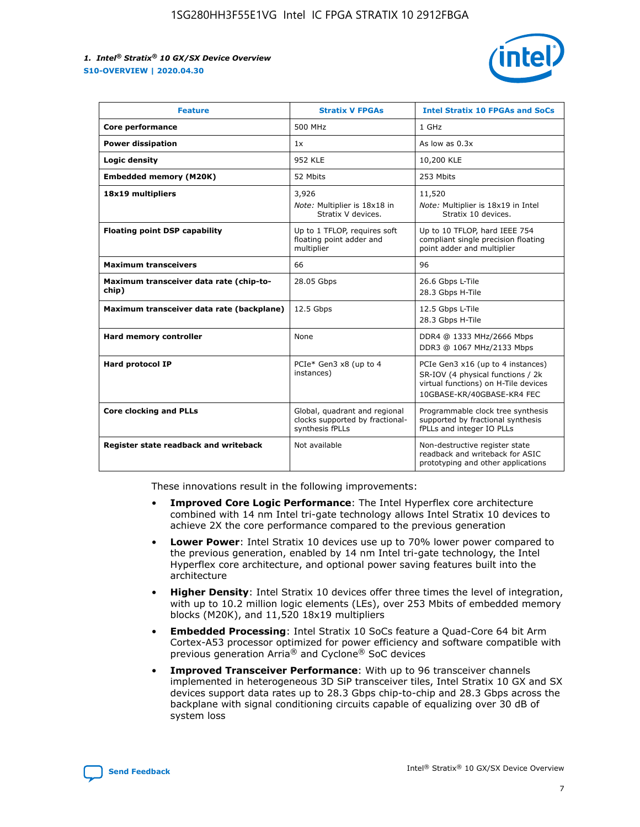

| <b>Feature</b>                                   | <b>Stratix V FPGAs</b>                                                              | <b>Intel Stratix 10 FPGAs and SoCs</b>                                                                                                       |
|--------------------------------------------------|-------------------------------------------------------------------------------------|----------------------------------------------------------------------------------------------------------------------------------------------|
| Core performance                                 | 500 MHz                                                                             | 1 GHz                                                                                                                                        |
| <b>Power dissipation</b>                         | 1x                                                                                  | As low as $0.3x$                                                                                                                             |
| Logic density                                    | <b>952 KLE</b>                                                                      | 10,200 KLE                                                                                                                                   |
| <b>Embedded memory (M20K)</b>                    | 52 Mbits                                                                            | 253 Mbits                                                                                                                                    |
| 18x19 multipliers                                | 3,926                                                                               | 11,520                                                                                                                                       |
|                                                  | Note: Multiplier is 18x18 in<br>Stratix V devices.                                  | Note: Multiplier is 18x19 in Intel<br>Stratix 10 devices.                                                                                    |
| <b>Floating point DSP capability</b>             | Up to 1 TFLOP, requires soft<br>floating point adder and<br>multiplier              | Up to 10 TFLOP, hard IEEE 754<br>compliant single precision floating<br>point adder and multiplier                                           |
| <b>Maximum transceivers</b>                      | 66                                                                                  | 96                                                                                                                                           |
| Maximum transceiver data rate (chip-to-<br>chip) | 28.05 Gbps                                                                          | 26.6 Gbps L-Tile<br>28.3 Gbps H-Tile                                                                                                         |
| Maximum transceiver data rate (backplane)        | 12.5 Gbps                                                                           | 12.5 Gbps L-Tile<br>28.3 Gbps H-Tile                                                                                                         |
| <b>Hard memory controller</b>                    | None                                                                                | DDR4 @ 1333 MHz/2666 Mbps<br>DDR3 @ 1067 MHz/2133 Mbps                                                                                       |
| <b>Hard protocol IP</b>                          | PCIe* Gen3 x8 (up to 4<br>instances)                                                | PCIe Gen3 x16 (up to 4 instances)<br>SR-IOV (4 physical functions / 2k<br>virtual functions) on H-Tile devices<br>10GBASE-KR/40GBASE-KR4 FEC |
| <b>Core clocking and PLLs</b>                    | Global, quadrant and regional<br>clocks supported by fractional-<br>synthesis fPLLs | Programmable clock tree synthesis<br>supported by fractional synthesis<br>fPLLs and integer IO PLLs                                          |
| Register state readback and writeback            | Not available                                                                       | Non-destructive register state<br>readback and writeback for ASIC<br>prototyping and other applications                                      |

These innovations result in the following improvements:

- **Improved Core Logic Performance**: The Intel Hyperflex core architecture combined with 14 nm Intel tri-gate technology allows Intel Stratix 10 devices to achieve 2X the core performance compared to the previous generation
- **Lower Power**: Intel Stratix 10 devices use up to 70% lower power compared to the previous generation, enabled by 14 nm Intel tri-gate technology, the Intel Hyperflex core architecture, and optional power saving features built into the architecture
- **Higher Density**: Intel Stratix 10 devices offer three times the level of integration, with up to 10.2 million logic elements (LEs), over 253 Mbits of embedded memory blocks (M20K), and 11,520 18x19 multipliers
- **Embedded Processing**: Intel Stratix 10 SoCs feature a Quad-Core 64 bit Arm Cortex-A53 processor optimized for power efficiency and software compatible with previous generation Arria® and Cyclone® SoC devices
- **Improved Transceiver Performance**: With up to 96 transceiver channels implemented in heterogeneous 3D SiP transceiver tiles, Intel Stratix 10 GX and SX devices support data rates up to 28.3 Gbps chip-to-chip and 28.3 Gbps across the backplane with signal conditioning circuits capable of equalizing over 30 dB of system loss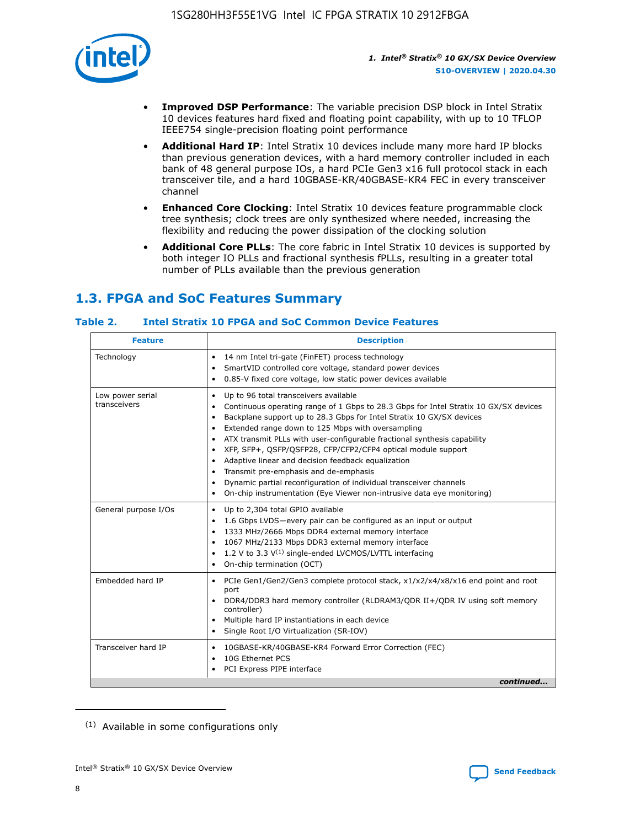

- **Improved DSP Performance**: The variable precision DSP block in Intel Stratix 10 devices features hard fixed and floating point capability, with up to 10 TFLOP IEEE754 single-precision floating point performance
- **Additional Hard IP**: Intel Stratix 10 devices include many more hard IP blocks than previous generation devices, with a hard memory controller included in each bank of 48 general purpose IOs, a hard PCIe Gen3 x16 full protocol stack in each transceiver tile, and a hard 10GBASE-KR/40GBASE-KR4 FEC in every transceiver channel
- **Enhanced Core Clocking**: Intel Stratix 10 devices feature programmable clock tree synthesis; clock trees are only synthesized where needed, increasing the flexibility and reducing the power dissipation of the clocking solution
- **Additional Core PLLs**: The core fabric in Intel Stratix 10 devices is supported by both integer IO PLLs and fractional synthesis fPLLs, resulting in a greater total number of PLLs available than the previous generation

# **1.3. FPGA and SoC Features Summary**

### **Table 2. Intel Stratix 10 FPGA and SoC Common Device Features**

| Technology<br>14 nm Intel tri-gate (FinFET) process technology<br>$\bullet$<br>SmartVID controlled core voltage, standard power devices<br>٠<br>0.85-V fixed core voltage, low static power devices available<br>٠<br>Up to 96 total transceivers available<br>Low power serial<br>٠<br>transceivers<br>Backplane support up to 28.3 Gbps for Intel Stratix 10 GX/SX devices<br>$\bullet$<br>Extended range down to 125 Mbps with oversampling<br>$\bullet$<br>• ATX transmit PLLs with user-configurable fractional synthesis capability<br>• XFP, SFP+, QSFP/QSFP28, CFP/CFP2/CFP4 optical module support<br>• Adaptive linear and decision feedback equalization<br>Transmit pre-emphasis and de-emphasis<br>Dynamic partial reconfiguration of individual transceiver channels<br>٠<br>On-chip instrumentation (Eye Viewer non-intrusive data eye monitoring)<br>$\bullet$<br>General purpose I/Os<br>Up to 2,304 total GPIO available<br>$\bullet$<br>1.6 Gbps LVDS-every pair can be configured as an input or output<br>$\bullet$<br>1333 MHz/2666 Mbps DDR4 external memory interface<br>1067 MHz/2133 Mbps DDR3 external memory interface<br>$\bullet$ 1.2 V to 3.3 V <sup>(1)</sup> single-ended LVCMOS/LVTTL interfacing | <b>Feature</b> | <b>Description</b>                                                                                                                                              |
|-------------------------------------------------------------------------------------------------------------------------------------------------------------------------------------------------------------------------------------------------------------------------------------------------------------------------------------------------------------------------------------------------------------------------------------------------------------------------------------------------------------------------------------------------------------------------------------------------------------------------------------------------------------------------------------------------------------------------------------------------------------------------------------------------------------------------------------------------------------------------------------------------------------------------------------------------------------------------------------------------------------------------------------------------------------------------------------------------------------------------------------------------------------------------------------------------------------------------------------|----------------|-----------------------------------------------------------------------------------------------------------------------------------------------------------------|
|                                                                                                                                                                                                                                                                                                                                                                                                                                                                                                                                                                                                                                                                                                                                                                                                                                                                                                                                                                                                                                                                                                                                                                                                                                     |                |                                                                                                                                                                 |
|                                                                                                                                                                                                                                                                                                                                                                                                                                                                                                                                                                                                                                                                                                                                                                                                                                                                                                                                                                                                                                                                                                                                                                                                                                     |                | Continuous operating range of 1 Gbps to 28.3 Gbps for Intel Stratix 10 GX/SX devices                                                                            |
|                                                                                                                                                                                                                                                                                                                                                                                                                                                                                                                                                                                                                                                                                                                                                                                                                                                                                                                                                                                                                                                                                                                                                                                                                                     |                | • On-chip termination (OCT)                                                                                                                                     |
| Embedded hard IP<br>port<br>controller)<br>• Multiple hard IP instantiations in each device<br>• Single Root I/O Virtualization (SR-IOV)                                                                                                                                                                                                                                                                                                                                                                                                                                                                                                                                                                                                                                                                                                                                                                                                                                                                                                                                                                                                                                                                                            |                | • PCIe Gen1/Gen2/Gen3 complete protocol stack, x1/x2/x4/x8/x16 end point and root<br>DDR4/DDR3 hard memory controller (RLDRAM3/QDR II+/QDR IV using soft memory |
| Transceiver hard IP<br>10GBASE-KR/40GBASE-KR4 Forward Error Correction (FEC)<br>$\bullet$<br>10G Ethernet PCS<br>٠<br>PCI Express PIPE interface<br>٠                                                                                                                                                                                                                                                                                                                                                                                                                                                                                                                                                                                                                                                                                                                                                                                                                                                                                                                                                                                                                                                                               |                | continued                                                                                                                                                       |

<sup>(1)</sup> Available in some configurations only

8

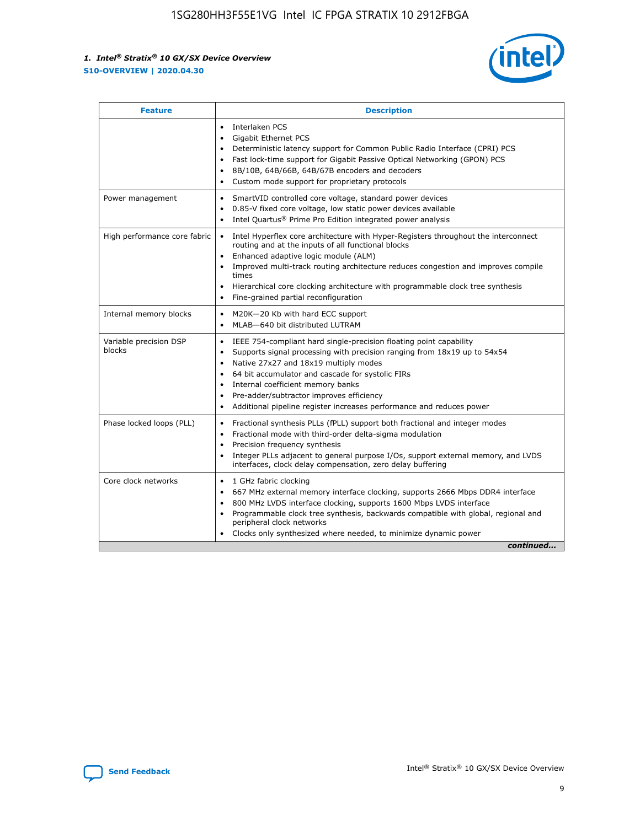

| <b>Feature</b>                   | <b>Description</b>                                                                                                                                                                                                                                                                                                                                                                                                                                                    |  |  |  |
|----------------------------------|-----------------------------------------------------------------------------------------------------------------------------------------------------------------------------------------------------------------------------------------------------------------------------------------------------------------------------------------------------------------------------------------------------------------------------------------------------------------------|--|--|--|
|                                  | Interlaken PCS<br>$\bullet$<br>Gigabit Ethernet PCS<br>$\bullet$<br>Deterministic latency support for Common Public Radio Interface (CPRI) PCS<br>$\bullet$<br>Fast lock-time support for Gigabit Passive Optical Networking (GPON) PCS<br>$\bullet$<br>8B/10B, 64B/66B, 64B/67B encoders and decoders<br>$\bullet$<br>Custom mode support for proprietary protocols<br>$\bullet$                                                                                     |  |  |  |
| Power management                 | SmartVID controlled core voltage, standard power devices<br>$\bullet$<br>0.85-V fixed core voltage, low static power devices available<br>$\bullet$<br>Intel Quartus <sup>®</sup> Prime Pro Edition integrated power analysis<br>$\bullet$                                                                                                                                                                                                                            |  |  |  |
| High performance core fabric     | Intel Hyperflex core architecture with Hyper-Registers throughout the interconnect<br>$\bullet$<br>routing and at the inputs of all functional blocks<br>Enhanced adaptive logic module (ALM)<br>$\bullet$<br>Improved multi-track routing architecture reduces congestion and improves compile<br>times<br>Hierarchical core clocking architecture with programmable clock tree synthesis<br>Fine-grained partial reconfiguration                                    |  |  |  |
| Internal memory blocks           | M20K-20 Kb with hard ECC support<br>٠<br>MLAB-640 bit distributed LUTRAM<br>$\bullet$                                                                                                                                                                                                                                                                                                                                                                                 |  |  |  |
| Variable precision DSP<br>blocks | IEEE 754-compliant hard single-precision floating point capability<br>$\bullet$<br>Supports signal processing with precision ranging from 18x19 up to 54x54<br>$\bullet$<br>Native 27x27 and 18x19 multiply modes<br>$\bullet$<br>64 bit accumulator and cascade for systolic FIRs<br>Internal coefficient memory banks<br>Pre-adder/subtractor improves efficiency<br>$\bullet$<br>Additional pipeline register increases performance and reduces power<br>$\bullet$ |  |  |  |
| Phase locked loops (PLL)         | Fractional synthesis PLLs (fPLL) support both fractional and integer modes<br>$\bullet$<br>Fractional mode with third-order delta-sigma modulation<br>Precision frequency synthesis<br>$\bullet$<br>Integer PLLs adjacent to general purpose I/Os, support external memory, and LVDS<br>$\bullet$<br>interfaces, clock delay compensation, zero delay buffering                                                                                                       |  |  |  |
| Core clock networks              | 1 GHz fabric clocking<br>$\bullet$<br>667 MHz external memory interface clocking, supports 2666 Mbps DDR4 interface<br>$\bullet$<br>800 MHz LVDS interface clocking, supports 1600 Mbps LVDS interface<br>$\bullet$<br>Programmable clock tree synthesis, backwards compatible with global, regional and<br>$\bullet$<br>peripheral clock networks<br>Clocks only synthesized where needed, to minimize dynamic power<br>continued                                    |  |  |  |

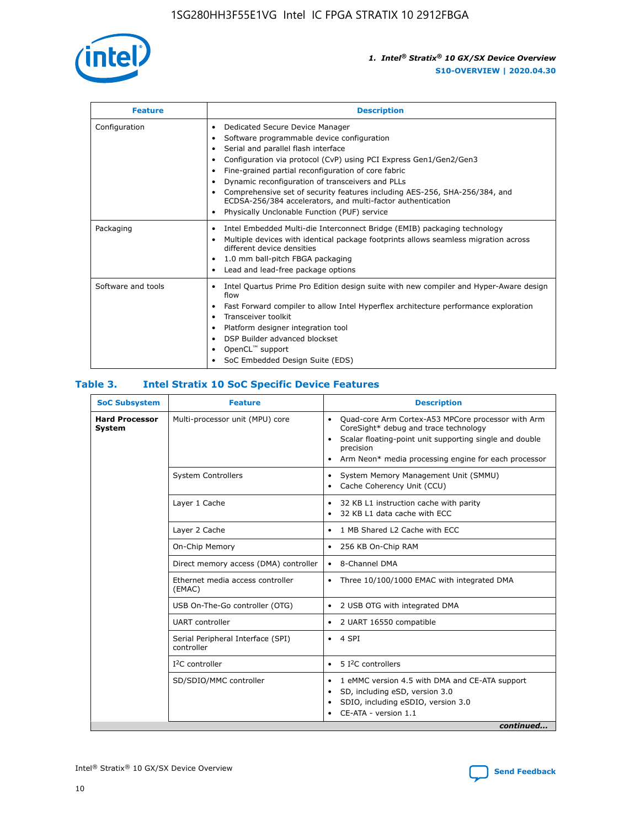

| <b>Feature</b>     | <b>Description</b>                                                                                                                                                                                                                                                                                                                                                                                                                                                                                                            |
|--------------------|-------------------------------------------------------------------------------------------------------------------------------------------------------------------------------------------------------------------------------------------------------------------------------------------------------------------------------------------------------------------------------------------------------------------------------------------------------------------------------------------------------------------------------|
| Configuration      | Dedicated Secure Device Manager<br>٠<br>Software programmable device configuration<br>٠<br>Serial and parallel flash interface<br>$\bullet$<br>Configuration via protocol (CvP) using PCI Express Gen1/Gen2/Gen3<br>Fine-grained partial reconfiguration of core fabric<br>Dynamic reconfiguration of transceivers and PLLs<br>٠<br>Comprehensive set of security features including AES-256, SHA-256/384, and<br>ECDSA-256/384 accelerators, and multi-factor authentication<br>Physically Unclonable Function (PUF) service |
| Packaging          | Intel Embedded Multi-die Interconnect Bridge (EMIB) packaging technology<br>٠<br>Multiple devices with identical package footprints allows seamless migration across<br>$\bullet$<br>different device densities<br>1.0 mm ball-pitch FBGA packaging<br>٠<br>Lead and lead-free package options                                                                                                                                                                                                                                |
| Software and tools | Intel Quartus Prime Pro Edition design suite with new compiler and Hyper-Aware design<br>flow<br>Fast Forward compiler to allow Intel Hyperflex architecture performance exploration<br>٠<br>Transceiver toolkit<br>Platform designer integration tool<br>DSP Builder advanced blockset<br>OpenCL <sup>™</sup> support<br>SoC Embedded Design Suite (EDS)                                                                                                                                                                     |

#### **Table 3. Intel Stratix 10 SoC Specific Device Features**

| <b>SoC Subsystem</b>                   | <b>Feature</b>                                  | <b>Description</b>                                                                                                                                                                                                                                                 |
|----------------------------------------|-------------------------------------------------|--------------------------------------------------------------------------------------------------------------------------------------------------------------------------------------------------------------------------------------------------------------------|
| <b>Hard Processor</b><br><b>System</b> | Multi-processor unit (MPU) core                 | Quad-core Arm Cortex-A53 MPCore processor with Arm<br>$\bullet$<br>CoreSight* debug and trace technology<br>Scalar floating-point unit supporting single and double<br>$\bullet$<br>precision<br>Arm Neon* media processing engine for each processor<br>$\bullet$ |
|                                        | <b>System Controllers</b>                       | System Memory Management Unit (SMMU)<br>$\bullet$<br>Cache Coherency Unit (CCU)<br>$\bullet$                                                                                                                                                                       |
|                                        | Layer 1 Cache                                   | 32 KB L1 instruction cache with parity<br>٠<br>32 KB L1 data cache with ECC<br>$\bullet$                                                                                                                                                                           |
|                                        | Layer 2 Cache                                   | 1 MB Shared L2 Cache with ECC<br>$\bullet$                                                                                                                                                                                                                         |
|                                        | On-Chip Memory                                  | 256 KB On-Chip RAM<br>$\bullet$                                                                                                                                                                                                                                    |
|                                        | Direct memory access (DMA) controller           | • 8-Channel DMA                                                                                                                                                                                                                                                    |
|                                        | Ethernet media access controller<br>(EMAC)      | Three 10/100/1000 EMAC with integrated DMA<br>$\bullet$                                                                                                                                                                                                            |
|                                        | USB On-The-Go controller (OTG)                  | 2 USB OTG with integrated DMA<br>$\bullet$                                                                                                                                                                                                                         |
|                                        | <b>UART</b> controller                          | 2 UART 16550 compatible<br>$\bullet$                                                                                                                                                                                                                               |
|                                        | Serial Peripheral Interface (SPI)<br>controller | $\bullet$ 4 SPI                                                                                                                                                                                                                                                    |
|                                        | $I2C$ controller                                | 5 <sup>2</sup> C controllers<br>$\bullet$                                                                                                                                                                                                                          |
|                                        | SD/SDIO/MMC controller                          | 1 eMMC version 4.5 with DMA and CE-ATA support<br>$\bullet$<br>SD, including eSD, version 3.0<br>٠<br>SDIO, including eSDIO, version 3.0<br>CE-ATA - version 1.1<br>continued                                                                                      |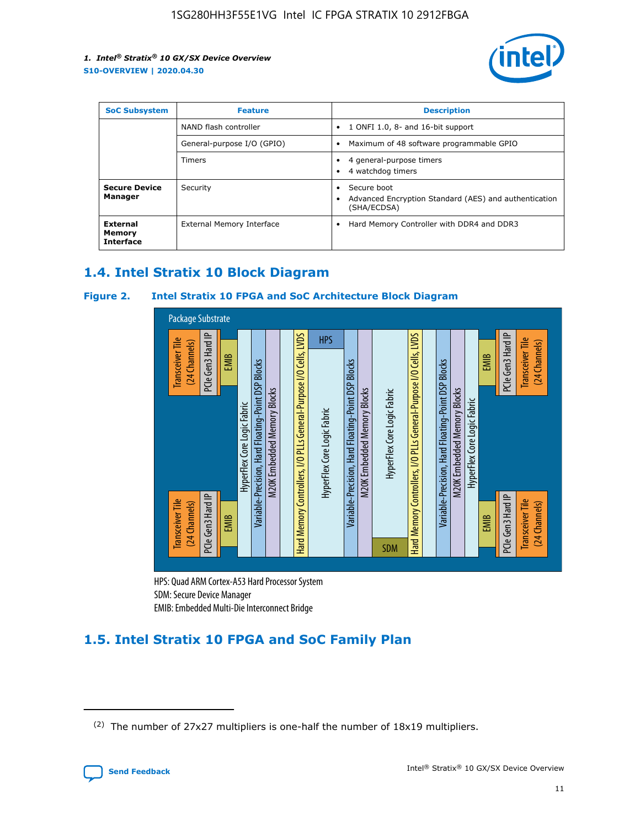

| <b>SoC Subsystem</b>                   | <b>Feature</b>             | <b>Description</b>                                                                                    |  |  |
|----------------------------------------|----------------------------|-------------------------------------------------------------------------------------------------------|--|--|
|                                        | NAND flash controller      | 1 ONFI 1.0, 8- and 16-bit support<br>$\bullet$                                                        |  |  |
|                                        | General-purpose I/O (GPIO) | Maximum of 48 software programmable GPIO<br>$\bullet$                                                 |  |  |
|                                        | Timers                     | 4 general-purpose timers<br>4 watchdog timers<br>٠                                                    |  |  |
| <b>Secure Device</b><br>Manager        | Security                   | Secure boot<br>$\bullet$<br>Advanced Encryption Standard (AES) and authentication<br>٠<br>(SHA/ECDSA) |  |  |
| External<br>Memory<br><b>Interface</b> | External Memory Interface  | Hard Memory Controller with DDR4 and DDR3<br>$\bullet$                                                |  |  |

# **1.4. Intel Stratix 10 Block Diagram**

### **Figure 2. Intel Stratix 10 FPGA and SoC Architecture Block Diagram**



HPS: Quad ARM Cortex-A53 Hard Processor System SDM: Secure Device Manager

# **1.5. Intel Stratix 10 FPGA and SoC Family Plan**

<sup>(2)</sup> The number of 27x27 multipliers is one-half the number of 18x19 multipliers.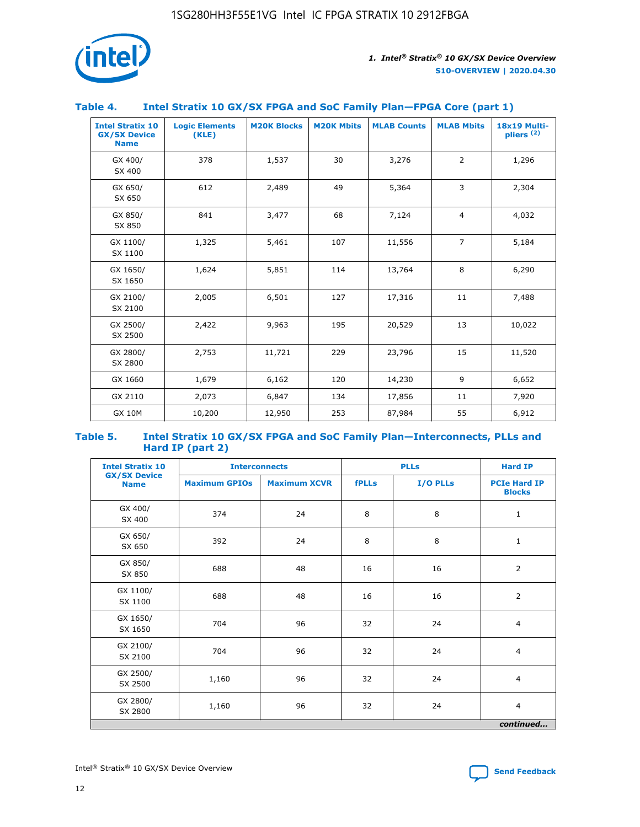

#### **Table 4. Intel Stratix 10 GX/SX FPGA and SoC Family Plan—FPGA Core (part 1)**

| <b>Intel Stratix 10</b><br><b>GX/SX Device</b><br><b>Name</b> | <b>Logic Elements</b><br>(KLE) | <b>M20K Blocks</b> | <b>M20K Mbits</b> | <b>MLAB Counts</b> | <b>MLAB Mbits</b> | 18x19 Multi-<br>pliers <sup>(2)</sup> |
|---------------------------------------------------------------|--------------------------------|--------------------|-------------------|--------------------|-------------------|---------------------------------------|
| GX 400/<br>SX 400                                             | 378                            | 1,537              | 30                | 3,276              | $\overline{2}$    | 1,296                                 |
| GX 650/<br>SX 650                                             | 612                            | 2,489              | 49                | 5,364              | 3                 | 2,304                                 |
| GX 850/<br>SX 850                                             | 841                            | 3,477              | 68                | 7,124              | $\overline{4}$    | 4,032                                 |
| GX 1100/<br>SX 1100                                           | 1,325                          | 5,461              | 107               | 11,556             | $\overline{7}$    | 5,184                                 |
| GX 1650/<br>SX 1650                                           | 1,624                          | 5,851              | 114               | 13,764             | 8                 | 6,290                                 |
| GX 2100/<br>SX 2100                                           | 2,005                          | 6,501              | 127               | 17,316             | 11                | 7,488                                 |
| GX 2500/<br>SX 2500                                           | 2,422                          | 9,963              | 195               | 20,529             | 13                | 10,022                                |
| GX 2800/<br>SX 2800                                           | 2,753                          | 11,721             | 229               | 23,796             | 15                | 11,520                                |
| GX 1660                                                       | 1,679                          | 6,162              | 120               | 14,230             | 9                 | 6,652                                 |
| GX 2110                                                       | 2,073                          | 6,847              | 134               | 17,856             | 11                | 7,920                                 |
| <b>GX 10M</b>                                                 | 10,200                         | 12,950             | 253               | 87,984             | 55                | 6,912                                 |

#### **Table 5. Intel Stratix 10 GX/SX FPGA and SoC Family Plan—Interconnects, PLLs and Hard IP (part 2)**

| <b>Intel Stratix 10</b>            | <b>Interconnects</b> |                     | <b>PLLs</b>  |          | <b>Hard IP</b>                       |
|------------------------------------|----------------------|---------------------|--------------|----------|--------------------------------------|
| <b>GX/SX Device</b><br><b>Name</b> | <b>Maximum GPIOs</b> | <b>Maximum XCVR</b> | <b>fPLLs</b> | I/O PLLs | <b>PCIe Hard IP</b><br><b>Blocks</b> |
| GX 400/<br>SX 400                  | 374                  | 24                  | 8            | 8        | $\mathbf{1}$                         |
| GX 650/<br>SX 650                  | 392                  | 24                  | 8            | 8        | $\mathbf{1}$                         |
| GX 850/<br>SX 850                  | 688                  | 48                  | 16           | 16       | 2                                    |
| GX 1100/<br>SX 1100                | 688                  | 48                  | 16           | 16       | $\overline{2}$                       |
| GX 1650/<br>SX 1650                | 704                  | 96                  | 32           | 24       | $\overline{4}$                       |
| GX 2100/<br>SX 2100                | 704                  | 96                  | 32           | 24       | $\overline{4}$                       |
| GX 2500/<br>SX 2500                | 1,160                | 96                  | 32           | 24       | $\overline{4}$                       |
| GX 2800/<br>SX 2800                | 1,160                | 96                  | 32           | 24       | $\overline{4}$                       |
|                                    |                      |                     |              |          | continued                            |

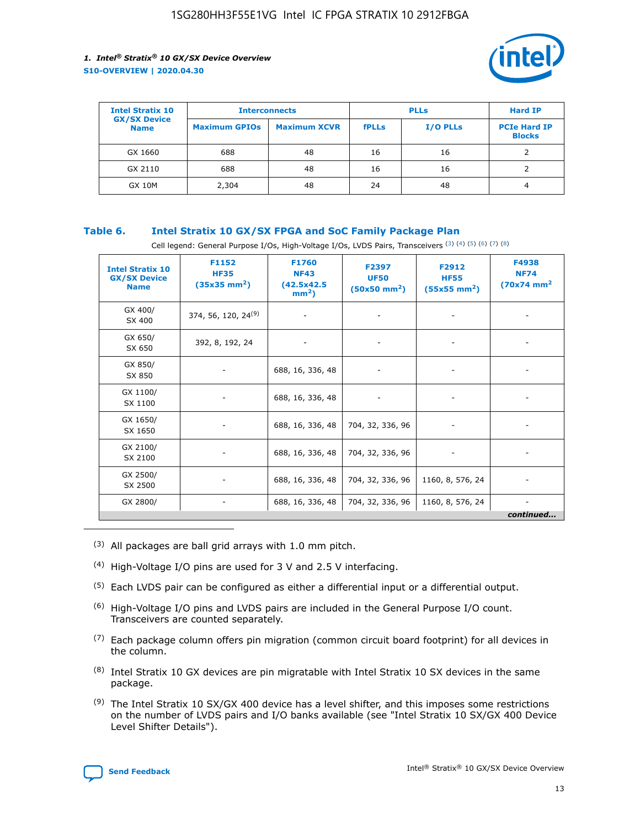

| <b>Intel Stratix 10</b>            | <b>Interconnects</b> |                     | <b>PLLs</b>  |                 | <b>Hard IP</b>                       |
|------------------------------------|----------------------|---------------------|--------------|-----------------|--------------------------------------|
| <b>GX/SX Device</b><br><b>Name</b> | <b>Maximum GPIOs</b> | <b>Maximum XCVR</b> | <b>fPLLs</b> | <b>I/O PLLs</b> | <b>PCIe Hard IP</b><br><b>Blocks</b> |
| GX 1660                            | 688                  | 48                  | 16           | 16              |                                      |
| GX 2110                            | 688                  | 48                  | 16           | 16              |                                      |
| <b>GX 10M</b>                      | 2,304                | 48                  | 24           | 48              | 4                                    |

#### **Table 6. Intel Stratix 10 GX/SX FPGA and SoC Family Package Plan**

Cell legend: General Purpose I/Os, High-Voltage I/Os, LVDS Pairs, Transceivers (3) (4) (5) (6) (7) (8)

| <b>Intel Stratix 10</b><br><b>GX/SX Device</b><br><b>Name</b> | F1152<br><b>HF35</b><br>$(35x35 \text{ mm}^2)$ | F1760<br><b>NF43</b><br>(42.5x42.5<br>$mm2$ ) | F2397<br><b>UF50</b><br>$(50x50 \text{ mm}^2)$ | F2912<br><b>HF55</b><br>$(55x55$ mm <sup>2</sup> ) | F4938<br><b>NF74</b><br>$(70x74)$ mm <sup>2</sup> |
|---------------------------------------------------------------|------------------------------------------------|-----------------------------------------------|------------------------------------------------|----------------------------------------------------|---------------------------------------------------|
| GX 400/<br>SX 400                                             | 374, 56, 120, 24 <sup>(9)</sup>                | $\overline{\phantom{a}}$                      | $\overline{\phantom{a}}$                       | ۰                                                  |                                                   |
| GX 650/<br>SX 650                                             | 392, 8, 192, 24                                | $\overline{\phantom{a}}$                      | $\overline{\phantom{a}}$                       |                                                    |                                                   |
| GX 850/<br>SX 850                                             | ۰.                                             | 688, 16, 336, 48                              |                                                |                                                    |                                                   |
| GX 1100/<br>SX 1100                                           |                                                | 688, 16, 336, 48                              |                                                |                                                    |                                                   |
| GX 1650/<br>SX 1650                                           |                                                | 688, 16, 336, 48                              | 704, 32, 336, 96                               |                                                    |                                                   |
| GX 2100/<br>SX 2100                                           | -                                              | 688, 16, 336, 48                              | 704, 32, 336, 96                               | $\overline{\phantom{a}}$                           |                                                   |
| GX 2500/<br>SX 2500                                           |                                                | 688, 16, 336, 48                              | 704, 32, 336, 96                               | 1160, 8, 576, 24                                   |                                                   |
| GX 2800/                                                      | -                                              | 688, 16, 336, 48                              | 704, 32, 336, 96                               | 1160, 8, 576, 24                                   | $\overline{\phantom{a}}$<br>continued             |

- (3) All packages are ball grid arrays with 1.0 mm pitch.
- (4) High-Voltage I/O pins are used for 3 V and 2.5 V interfacing.
- $(5)$  Each LVDS pair can be configured as either a differential input or a differential output.
- (6) High-Voltage I/O pins and LVDS pairs are included in the General Purpose I/O count. Transceivers are counted separately.
- $(7)$  Each package column offers pin migration (common circuit board footprint) for all devices in the column.
- $(8)$  Intel Stratix 10 GX devices are pin migratable with Intel Stratix 10 SX devices in the same package.
- $(9)$  The Intel Stratix 10 SX/GX 400 device has a level shifter, and this imposes some restrictions on the number of LVDS pairs and I/O banks available (see "Intel Stratix 10 SX/GX 400 Device Level Shifter Details").

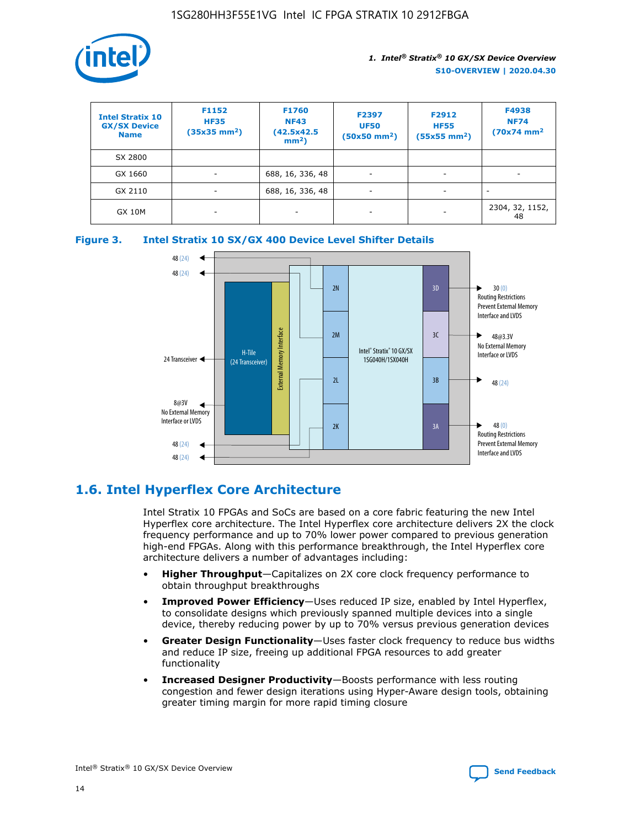

| <b>Intel Stratix 10</b><br><b>GX/SX Device</b><br><b>Name</b> | F1152<br><b>HF35</b><br>$(35x35)$ mm <sup>2</sup> ) | <b>F1760</b><br><b>NF43</b><br>(42.5x42.5<br>$mm2$ ) | F2397<br><b>UF50</b><br>$(50x50$ mm <sup>2</sup> ) | F2912<br><b>HF55</b><br>$(55x55$ mm <sup>2</sup> ) | F4938<br><b>NF74</b><br>$(70x74)$ mm <sup>2</sup> |
|---------------------------------------------------------------|-----------------------------------------------------|------------------------------------------------------|----------------------------------------------------|----------------------------------------------------|---------------------------------------------------|
| SX 2800                                                       |                                                     |                                                      |                                                    |                                                    |                                                   |
| GX 1660                                                       | ٠                                                   | 688, 16, 336, 48                                     | ۰                                                  |                                                    |                                                   |
| GX 2110                                                       | ٠                                                   | 688, 16, 336, 48                                     | $\overline{\phantom{a}}$                           |                                                    | $\overline{\phantom{a}}$                          |
| <b>GX 10M</b>                                                 | ۰                                                   | -                                                    | -                                                  |                                                    | 2304, 32, 1152,<br>48                             |





# **1.6. Intel Hyperflex Core Architecture**

Intel Stratix 10 FPGAs and SoCs are based on a core fabric featuring the new Intel Hyperflex core architecture. The Intel Hyperflex core architecture delivers 2X the clock frequency performance and up to 70% lower power compared to previous generation high-end FPGAs. Along with this performance breakthrough, the Intel Hyperflex core architecture delivers a number of advantages including:

- **Higher Throughput**—Capitalizes on 2X core clock frequency performance to obtain throughput breakthroughs
- **Improved Power Efficiency**—Uses reduced IP size, enabled by Intel Hyperflex, to consolidate designs which previously spanned multiple devices into a single device, thereby reducing power by up to 70% versus previous generation devices
- **Greater Design Functionality**—Uses faster clock frequency to reduce bus widths and reduce IP size, freeing up additional FPGA resources to add greater functionality
- **Increased Designer Productivity**—Boosts performance with less routing congestion and fewer design iterations using Hyper-Aware design tools, obtaining greater timing margin for more rapid timing closure

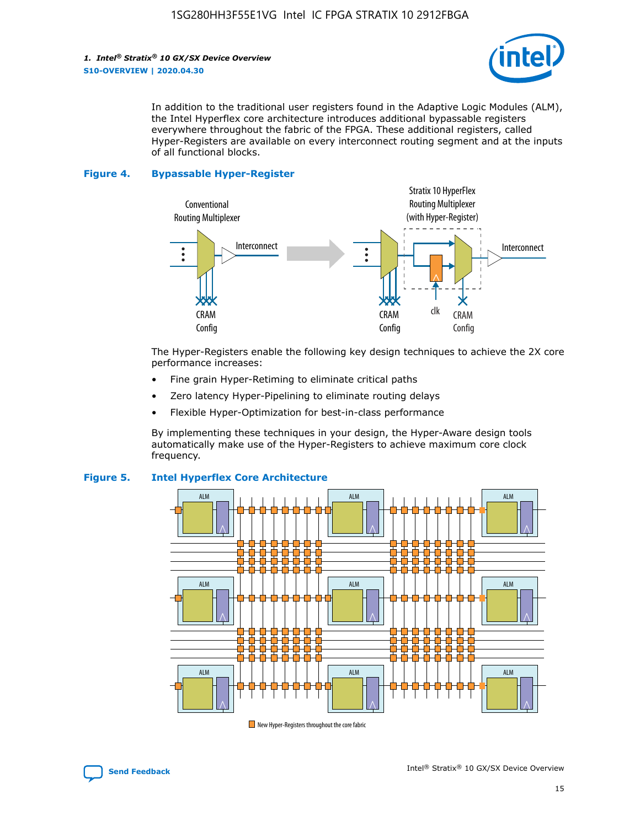

In addition to the traditional user registers found in the Adaptive Logic Modules (ALM), the Intel Hyperflex core architecture introduces additional bypassable registers everywhere throughout the fabric of the FPGA. These additional registers, called Hyper-Registers are available on every interconnect routing segment and at the inputs of all functional blocks.

#### **Figure 4. Bypassable Hyper-Register**



The Hyper-Registers enable the following key design techniques to achieve the 2X core performance increases:

- Fine grain Hyper-Retiming to eliminate critical paths
- Zero latency Hyper-Pipelining to eliminate routing delays
- Flexible Hyper-Optimization for best-in-class performance

By implementing these techniques in your design, the Hyper-Aware design tools automatically make use of the Hyper-Registers to achieve maximum core clock frequency.



#### **Figure 5. Intel Hyperflex Core Architecture**

New Hyper-Registers throughout the core fabric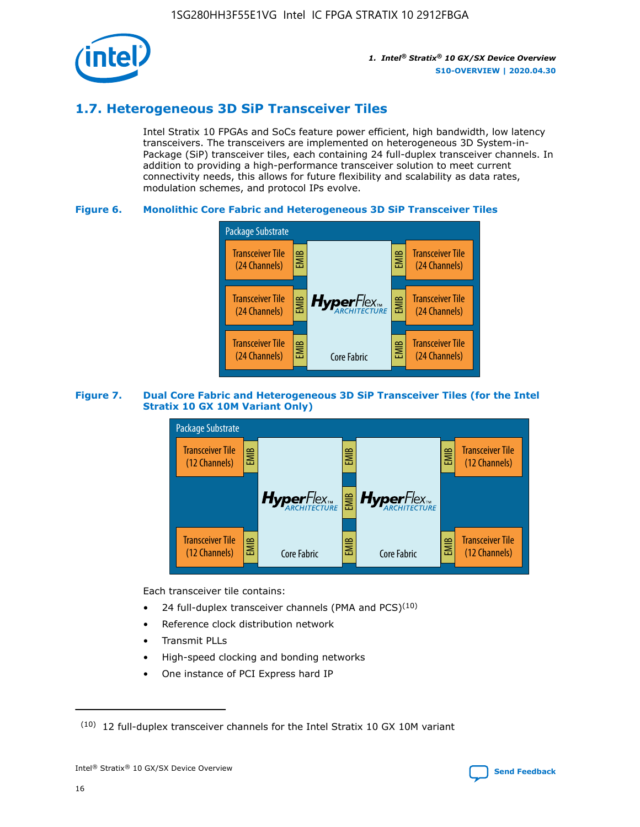

# **1.7. Heterogeneous 3D SiP Transceiver Tiles**

Intel Stratix 10 FPGAs and SoCs feature power efficient, high bandwidth, low latency transceivers. The transceivers are implemented on heterogeneous 3D System-in-Package (SiP) transceiver tiles, each containing 24 full-duplex transceiver channels. In addition to providing a high-performance transceiver solution to meet current connectivity needs, this allows for future flexibility and scalability as data rates, modulation schemes, and protocol IPs evolve.

#### **Figure 6. Monolithic Core Fabric and Heterogeneous 3D SiP Transceiver Tiles**



#### **Figure 7. Dual Core Fabric and Heterogeneous 3D SiP Transceiver Tiles (for the Intel Stratix 10 GX 10M Variant Only)**



Each transceiver tile contains:

- 24 full-duplex transceiver channels (PMA and PCS) $(10)$
- Reference clock distribution network
- Transmit PLLs
- High-speed clocking and bonding networks
- One instance of PCI Express hard IP

16

 $(10)$  12 full-duplex transceiver channels for the Intel Stratix 10 GX 10M variant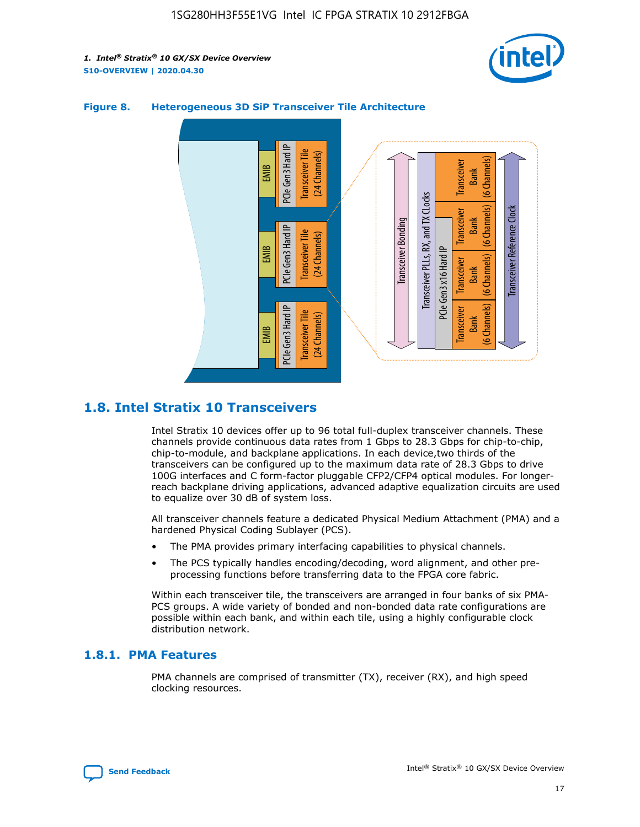



#### **Figure 8. Heterogeneous 3D SiP Transceiver Tile Architecture**

# **1.8. Intel Stratix 10 Transceivers**

Intel Stratix 10 devices offer up to 96 total full-duplex transceiver channels. These channels provide continuous data rates from 1 Gbps to 28.3 Gbps for chip-to-chip, chip-to-module, and backplane applications. In each device,two thirds of the transceivers can be configured up to the maximum data rate of 28.3 Gbps to drive 100G interfaces and C form-factor pluggable CFP2/CFP4 optical modules. For longerreach backplane driving applications, advanced adaptive equalization circuits are used to equalize over 30 dB of system loss.

All transceiver channels feature a dedicated Physical Medium Attachment (PMA) and a hardened Physical Coding Sublayer (PCS).

- The PMA provides primary interfacing capabilities to physical channels.
- The PCS typically handles encoding/decoding, word alignment, and other preprocessing functions before transferring data to the FPGA core fabric.

Within each transceiver tile, the transceivers are arranged in four banks of six PMA-PCS groups. A wide variety of bonded and non-bonded data rate configurations are possible within each bank, and within each tile, using a highly configurable clock distribution network.

### **1.8.1. PMA Features**

PMA channels are comprised of transmitter (TX), receiver (RX), and high speed clocking resources.

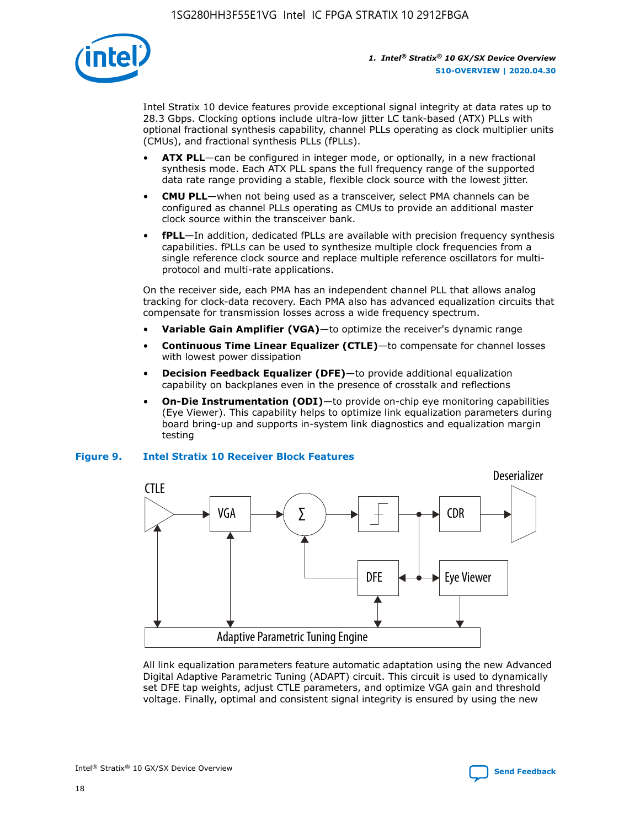

Intel Stratix 10 device features provide exceptional signal integrity at data rates up to 28.3 Gbps. Clocking options include ultra-low jitter LC tank-based (ATX) PLLs with optional fractional synthesis capability, channel PLLs operating as clock multiplier units (CMUs), and fractional synthesis PLLs (fPLLs).

- **ATX PLL**—can be configured in integer mode, or optionally, in a new fractional synthesis mode. Each ATX PLL spans the full frequency range of the supported data rate range providing a stable, flexible clock source with the lowest jitter.
- **CMU PLL**—when not being used as a transceiver, select PMA channels can be configured as channel PLLs operating as CMUs to provide an additional master clock source within the transceiver bank.
- **fPLL**—In addition, dedicated fPLLs are available with precision frequency synthesis capabilities. fPLLs can be used to synthesize multiple clock frequencies from a single reference clock source and replace multiple reference oscillators for multiprotocol and multi-rate applications.

On the receiver side, each PMA has an independent channel PLL that allows analog tracking for clock-data recovery. Each PMA also has advanced equalization circuits that compensate for transmission losses across a wide frequency spectrum.

- **Variable Gain Amplifier (VGA)**—to optimize the receiver's dynamic range
- **Continuous Time Linear Equalizer (CTLE)**—to compensate for channel losses with lowest power dissipation
- **Decision Feedback Equalizer (DFE)**—to provide additional equalization capability on backplanes even in the presence of crosstalk and reflections
- **On-Die Instrumentation (ODI)**—to provide on-chip eye monitoring capabilities (Eye Viewer). This capability helps to optimize link equalization parameters during board bring-up and supports in-system link diagnostics and equalization margin testing

#### **Figure 9. Intel Stratix 10 Receiver Block Features**



All link equalization parameters feature automatic adaptation using the new Advanced Digital Adaptive Parametric Tuning (ADAPT) circuit. This circuit is used to dynamically set DFE tap weights, adjust CTLE parameters, and optimize VGA gain and threshold voltage. Finally, optimal and consistent signal integrity is ensured by using the new



Intel<sup>®</sup> Stratix<sup>®</sup> 10 GX/SX Device Overview **[Send Feedback](mailto:FPGAtechdocfeedback@intel.com?subject=Feedback%20on%20Intel%20Stratix%2010%20GX/SX%20Device%20Overview%20(S10-OVERVIEW%202020.04.30)&body=We%20appreciate%20your%20feedback.%20In%20your%20comments,%20also%20specify%20the%20page%20number%20or%20paragraph.%20Thank%20you.)** Send Feedback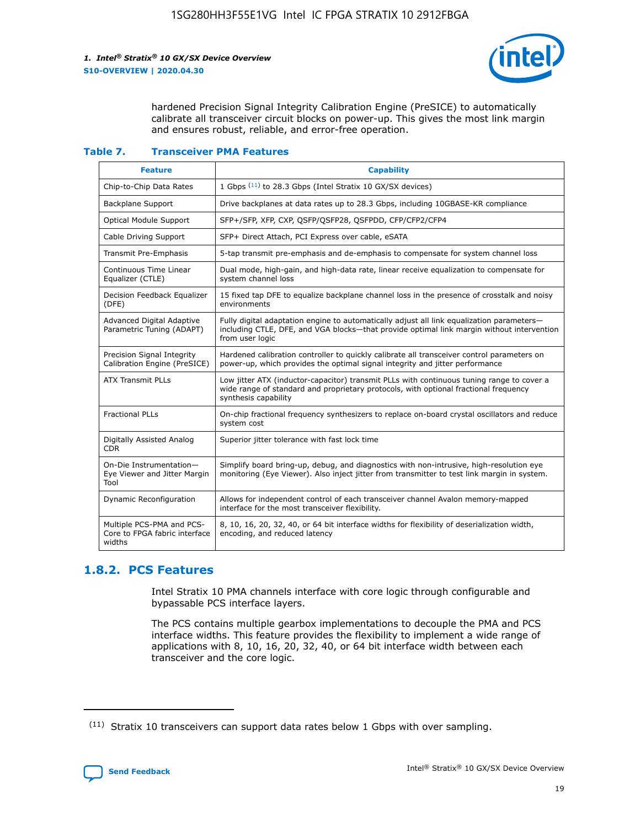

hardened Precision Signal Integrity Calibration Engine (PreSICE) to automatically calibrate all transceiver circuit blocks on power-up. This gives the most link margin and ensures robust, reliable, and error-free operation.

#### **Table 7. Transceiver PMA Features**

| <b>Feature</b>                                                       | <b>Capability</b>                                                                                                                                                                                         |
|----------------------------------------------------------------------|-----------------------------------------------------------------------------------------------------------------------------------------------------------------------------------------------------------|
| Chip-to-Chip Data Rates                                              | 1 Gbps (11) to 28.3 Gbps (Intel Stratix 10 GX/SX devices)                                                                                                                                                 |
| <b>Backplane Support</b>                                             | Drive backplanes at data rates up to 28.3 Gbps, including 10GBASE-KR compliance                                                                                                                           |
| Optical Module Support                                               | SFP+/SFP, XFP, CXP, QSFP/QSFP28, QSFPDD, CFP/CFP2/CFP4                                                                                                                                                    |
| Cable Driving Support                                                | SFP+ Direct Attach, PCI Express over cable, eSATA                                                                                                                                                         |
| <b>Transmit Pre-Emphasis</b>                                         | 5-tap transmit pre-emphasis and de-emphasis to compensate for system channel loss                                                                                                                         |
| Continuous Time Linear<br>Equalizer (CTLE)                           | Dual mode, high-gain, and high-data rate, linear receive equalization to compensate for<br>system channel loss                                                                                            |
| Decision Feedback Equalizer<br>(DFE)                                 | 15 fixed tap DFE to equalize backplane channel loss in the presence of crosstalk and noisy<br>environments                                                                                                |
| Advanced Digital Adaptive<br>Parametric Tuning (ADAPT)               | Fully digital adaptation engine to automatically adjust all link equalization parameters-<br>including CTLE, DFE, and VGA blocks-that provide optimal link margin without intervention<br>from user logic |
| Precision Signal Integrity<br>Calibration Engine (PreSICE)           | Hardened calibration controller to quickly calibrate all transceiver control parameters on<br>power-up, which provides the optimal signal integrity and jitter performance                                |
| <b>ATX Transmit PLLs</b>                                             | Low jitter ATX (inductor-capacitor) transmit PLLs with continuous tuning range to cover a<br>wide range of standard and proprietary protocols, with optional fractional frequency<br>synthesis capability |
| <b>Fractional PLLs</b>                                               | On-chip fractional frequency synthesizers to replace on-board crystal oscillators and reduce<br>system cost                                                                                               |
| Digitally Assisted Analog<br>CDR.                                    | Superior jitter tolerance with fast lock time                                                                                                                                                             |
| On-Die Instrumentation-<br>Eye Viewer and Jitter Margin<br>Tool      | Simplify board bring-up, debug, and diagnostics with non-intrusive, high-resolution eye<br>monitoring (Eye Viewer). Also inject jitter from transmitter to test link margin in system.                    |
| Dynamic Reconfiguration                                              | Allows for independent control of each transceiver channel Avalon memory-mapped<br>interface for the most transceiver flexibility.                                                                        |
| Multiple PCS-PMA and PCS-<br>Core to FPGA fabric interface<br>widths | 8, 10, 16, 20, 32, 40, or 64 bit interface widths for flexibility of deserialization width,<br>encoding, and reduced latency                                                                              |

### **1.8.2. PCS Features**

Intel Stratix 10 PMA channels interface with core logic through configurable and bypassable PCS interface layers.

The PCS contains multiple gearbox implementations to decouple the PMA and PCS interface widths. This feature provides the flexibility to implement a wide range of applications with 8, 10, 16, 20, 32, 40, or 64 bit interface width between each transceiver and the core logic.

<sup>(11)</sup> Stratix 10 transceivers can support data rates below 1 Gbps with over sampling.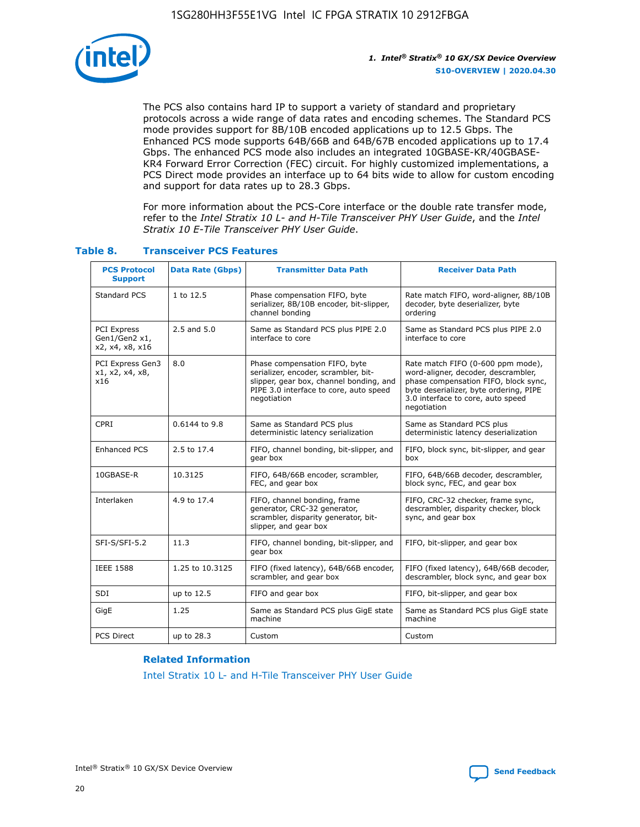

The PCS also contains hard IP to support a variety of standard and proprietary protocols across a wide range of data rates and encoding schemes. The Standard PCS mode provides support for 8B/10B encoded applications up to 12.5 Gbps. The Enhanced PCS mode supports 64B/66B and 64B/67B encoded applications up to 17.4 Gbps. The enhanced PCS mode also includes an integrated 10GBASE-KR/40GBASE-KR4 Forward Error Correction (FEC) circuit. For highly customized implementations, a PCS Direct mode provides an interface up to 64 bits wide to allow for custom encoding and support for data rates up to 28.3 Gbps.

For more information about the PCS-Core interface or the double rate transfer mode, refer to the *Intel Stratix 10 L- and H-Tile Transceiver PHY User Guide*, and the *Intel Stratix 10 E-Tile Transceiver PHY User Guide*.

| <b>PCS Protocol</b><br><b>Support</b>                  | <b>Data Rate (Gbps)</b> | <b>Transmitter Data Path</b>                                                                                                                                              | <b>Receiver Data Path</b>                                                                                                                                                                                      |
|--------------------------------------------------------|-------------------------|---------------------------------------------------------------------------------------------------------------------------------------------------------------------------|----------------------------------------------------------------------------------------------------------------------------------------------------------------------------------------------------------------|
| Standard PCS                                           | 1 to 12.5               | Phase compensation FIFO, byte<br>serializer, 8B/10B encoder, bit-slipper,<br>channel bonding                                                                              | Rate match FIFO, word-aligner, 8B/10B<br>decoder, byte deserializer, byte<br>ordering                                                                                                                          |
| <b>PCI Express</b><br>Gen1/Gen2 x1,<br>x2, x4, x8, x16 | 2.5 and 5.0             | Same as Standard PCS plus PIPE 2.0<br>interface to core                                                                                                                   | Same as Standard PCS plus PIPE 2.0<br>interface to core                                                                                                                                                        |
| PCI Express Gen3<br>x1, x2, x4, x8,<br>x16             | 8.0                     | Phase compensation FIFO, byte<br>serializer, encoder, scrambler, bit-<br>slipper, gear box, channel bonding, and<br>PIPE 3.0 interface to core, auto speed<br>negotiation | Rate match FIFO (0-600 ppm mode),<br>word-aligner, decoder, descrambler,<br>phase compensation FIFO, block sync,<br>byte deserializer, byte ordering, PIPE<br>3.0 interface to core, auto speed<br>negotiation |
| CPRI                                                   | 0.6144 to 9.8           | Same as Standard PCS plus<br>deterministic latency serialization                                                                                                          | Same as Standard PCS plus<br>deterministic latency deserialization                                                                                                                                             |
| <b>Enhanced PCS</b>                                    | 2.5 to 17.4             | FIFO, channel bonding, bit-slipper, and<br>gear box                                                                                                                       | FIFO, block sync, bit-slipper, and gear<br>box                                                                                                                                                                 |
| 10GBASE-R                                              | 10.3125                 | FIFO, 64B/66B encoder, scrambler,<br>FEC, and gear box                                                                                                                    | FIFO, 64B/66B decoder, descrambler,<br>block sync, FEC, and gear box                                                                                                                                           |
| Interlaken                                             | 4.9 to 17.4             | FIFO, channel bonding, frame<br>generator, CRC-32 generator,<br>scrambler, disparity generator, bit-<br>slipper, and gear box                                             | FIFO, CRC-32 checker, frame sync,<br>descrambler, disparity checker, block<br>sync, and gear box                                                                                                               |
| SFI-S/SFI-5.2                                          | 11.3                    | FIFO, channel bonding, bit-slipper, and<br>gear box                                                                                                                       | FIFO, bit-slipper, and gear box                                                                                                                                                                                |
| <b>IEEE 1588</b>                                       | 1.25 to 10.3125         | FIFO (fixed latency), 64B/66B encoder,<br>scrambler, and gear box                                                                                                         | FIFO (fixed latency), 64B/66B decoder,<br>descrambler, block sync, and gear box                                                                                                                                |
| SDI                                                    | up to 12.5              | FIFO and gear box                                                                                                                                                         | FIFO, bit-slipper, and gear box                                                                                                                                                                                |
| GigE                                                   | 1.25                    | Same as Standard PCS plus GigE state<br>machine                                                                                                                           | Same as Standard PCS plus GigE state<br>machine                                                                                                                                                                |
| <b>PCS Direct</b>                                      | up to 28.3              | Custom                                                                                                                                                                    | Custom                                                                                                                                                                                                         |

#### **Table 8. Transceiver PCS Features**

#### **Related Information**

[Intel Stratix 10 L- and H-Tile Transceiver PHY User Guide](https://www.altera.com/documentation/wry1479165198810.html)

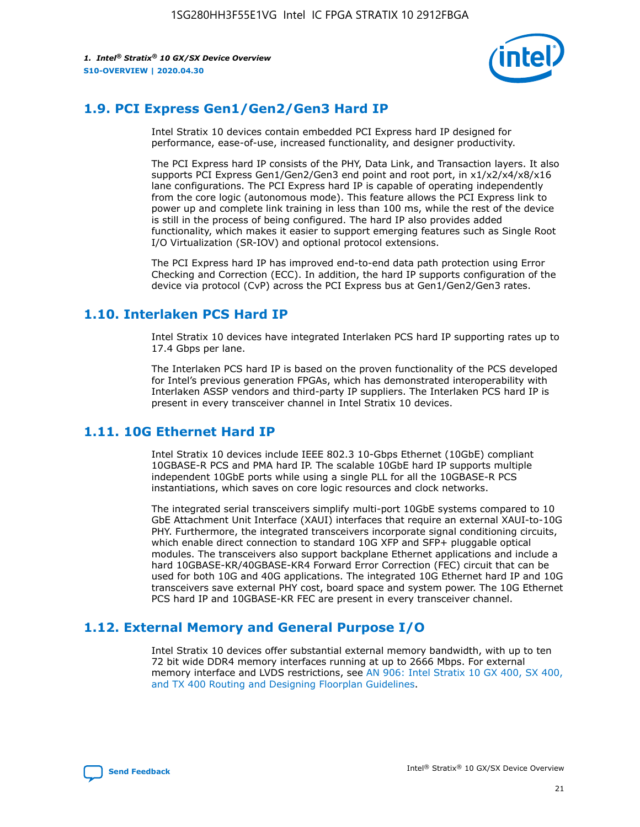

# **1.9. PCI Express Gen1/Gen2/Gen3 Hard IP**

Intel Stratix 10 devices contain embedded PCI Express hard IP designed for performance, ease-of-use, increased functionality, and designer productivity.

The PCI Express hard IP consists of the PHY, Data Link, and Transaction layers. It also supports PCI Express Gen1/Gen2/Gen3 end point and root port, in x1/x2/x4/x8/x16 lane configurations. The PCI Express hard IP is capable of operating independently from the core logic (autonomous mode). This feature allows the PCI Express link to power up and complete link training in less than 100 ms, while the rest of the device is still in the process of being configured. The hard IP also provides added functionality, which makes it easier to support emerging features such as Single Root I/O Virtualization (SR-IOV) and optional protocol extensions.

The PCI Express hard IP has improved end-to-end data path protection using Error Checking and Correction (ECC). In addition, the hard IP supports configuration of the device via protocol (CvP) across the PCI Express bus at Gen1/Gen2/Gen3 rates.

## **1.10. Interlaken PCS Hard IP**

Intel Stratix 10 devices have integrated Interlaken PCS hard IP supporting rates up to 17.4 Gbps per lane.

The Interlaken PCS hard IP is based on the proven functionality of the PCS developed for Intel's previous generation FPGAs, which has demonstrated interoperability with Interlaken ASSP vendors and third-party IP suppliers. The Interlaken PCS hard IP is present in every transceiver channel in Intel Stratix 10 devices.

# **1.11. 10G Ethernet Hard IP**

Intel Stratix 10 devices include IEEE 802.3 10-Gbps Ethernet (10GbE) compliant 10GBASE-R PCS and PMA hard IP. The scalable 10GbE hard IP supports multiple independent 10GbE ports while using a single PLL for all the 10GBASE-R PCS instantiations, which saves on core logic resources and clock networks.

The integrated serial transceivers simplify multi-port 10GbE systems compared to 10 GbE Attachment Unit Interface (XAUI) interfaces that require an external XAUI-to-10G PHY. Furthermore, the integrated transceivers incorporate signal conditioning circuits, which enable direct connection to standard 10G XFP and SFP+ pluggable optical modules. The transceivers also support backplane Ethernet applications and include a hard 10GBASE-KR/40GBASE-KR4 Forward Error Correction (FEC) circuit that can be used for both 10G and 40G applications. The integrated 10G Ethernet hard IP and 10G transceivers save external PHY cost, board space and system power. The 10G Ethernet PCS hard IP and 10GBASE-KR FEC are present in every transceiver channel.

# **1.12. External Memory and General Purpose I/O**

Intel Stratix 10 devices offer substantial external memory bandwidth, with up to ten 72 bit wide DDR4 memory interfaces running at up to 2666 Mbps. For external memory interface and LVDS restrictions, see [AN 906: Intel Stratix 10 GX 400, SX 400,](https://www.intel.com/content/www/us/en/programmable/documentation/sjf1574667190623.html#bft1574667627484) [and TX 400 Routing and Designing Floorplan Guidelines.](https://www.intel.com/content/www/us/en/programmable/documentation/sjf1574667190623.html#bft1574667627484)

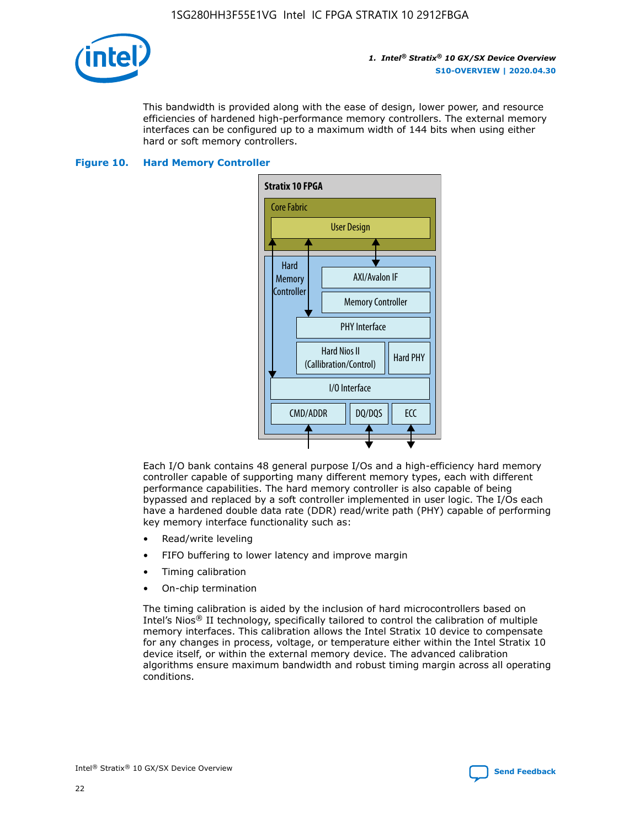

This bandwidth is provided along with the ease of design, lower power, and resource efficiencies of hardened high-performance memory controllers. The external memory interfaces can be configured up to a maximum width of 144 bits when using either hard or soft memory controllers.

#### **Figure 10. Hard Memory Controller**



Each I/O bank contains 48 general purpose I/Os and a high-efficiency hard memory controller capable of supporting many different memory types, each with different performance capabilities. The hard memory controller is also capable of being bypassed and replaced by a soft controller implemented in user logic. The I/Os each have a hardened double data rate (DDR) read/write path (PHY) capable of performing key memory interface functionality such as:

- Read/write leveling
- FIFO buffering to lower latency and improve margin
- Timing calibration
- On-chip termination

The timing calibration is aided by the inclusion of hard microcontrollers based on Intel's Nios® II technology, specifically tailored to control the calibration of multiple memory interfaces. This calibration allows the Intel Stratix 10 device to compensate for any changes in process, voltage, or temperature either within the Intel Stratix 10 device itself, or within the external memory device. The advanced calibration algorithms ensure maximum bandwidth and robust timing margin across all operating conditions.

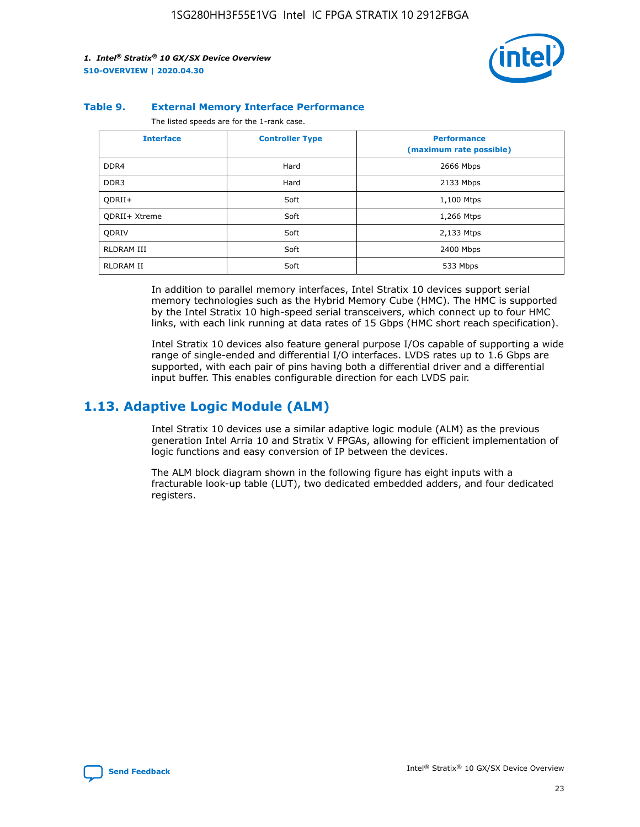

#### **Table 9. External Memory Interface Performance**

The listed speeds are for the 1-rank case.

| <b>Interface</b>     | <b>Controller Type</b> | <b>Performance</b><br>(maximum rate possible) |
|----------------------|------------------------|-----------------------------------------------|
| DDR4                 | Hard                   | 2666 Mbps                                     |
| DDR <sub>3</sub>     | Hard                   | 2133 Mbps                                     |
| QDRII+               | Soft                   | 1,100 Mtps                                    |
| <b>ODRII+ Xtreme</b> | Soft                   | 1,266 Mtps                                    |
| <b>ODRIV</b>         | Soft                   | 2,133 Mtps                                    |
| RLDRAM III           | Soft                   | 2400 Mbps                                     |
| <b>RLDRAM II</b>     | Soft                   | 533 Mbps                                      |

In addition to parallel memory interfaces, Intel Stratix 10 devices support serial memory technologies such as the Hybrid Memory Cube (HMC). The HMC is supported by the Intel Stratix 10 high-speed serial transceivers, which connect up to four HMC links, with each link running at data rates of 15 Gbps (HMC short reach specification).

Intel Stratix 10 devices also feature general purpose I/Os capable of supporting a wide range of single-ended and differential I/O interfaces. LVDS rates up to 1.6 Gbps are supported, with each pair of pins having both a differential driver and a differential input buffer. This enables configurable direction for each LVDS pair.

# **1.13. Adaptive Logic Module (ALM)**

Intel Stratix 10 devices use a similar adaptive logic module (ALM) as the previous generation Intel Arria 10 and Stratix V FPGAs, allowing for efficient implementation of logic functions and easy conversion of IP between the devices.

The ALM block diagram shown in the following figure has eight inputs with a fracturable look-up table (LUT), two dedicated embedded adders, and four dedicated registers.

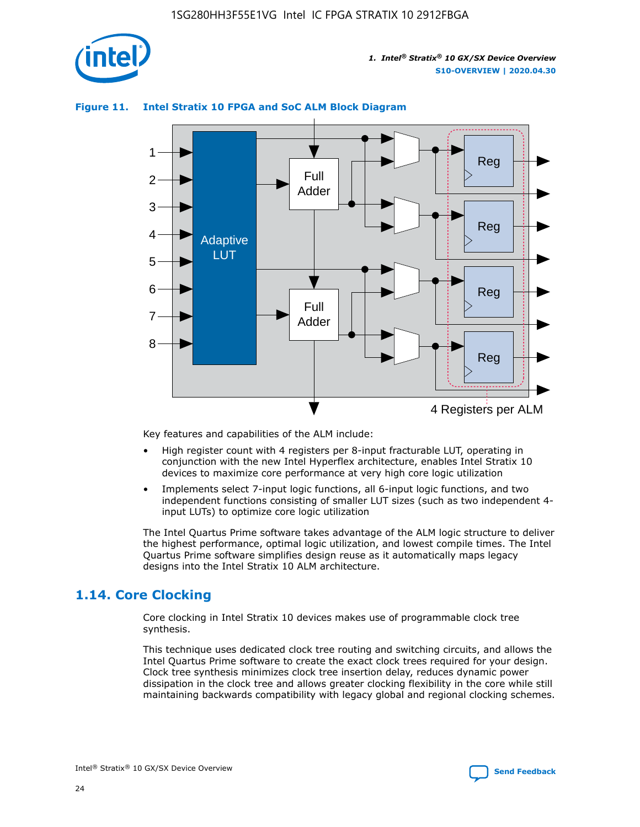

# Reg Reg 1 2 3 4 5 6 7 8 Reg Reg 4 Registers per ALM Full Adder Full Adder Adaptive **LUT**

### **Figure 11. Intel Stratix 10 FPGA and SoC ALM Block Diagram**

Key features and capabilities of the ALM include:

- High register count with 4 registers per 8-input fracturable LUT, operating in conjunction with the new Intel Hyperflex architecture, enables Intel Stratix 10 devices to maximize core performance at very high core logic utilization
- Implements select 7-input logic functions, all 6-input logic functions, and two independent functions consisting of smaller LUT sizes (such as two independent 4 input LUTs) to optimize core logic utilization

The Intel Quartus Prime software takes advantage of the ALM logic structure to deliver the highest performance, optimal logic utilization, and lowest compile times. The Intel Quartus Prime software simplifies design reuse as it automatically maps legacy designs into the Intel Stratix 10 ALM architecture.

# **1.14. Core Clocking**

Core clocking in Intel Stratix 10 devices makes use of programmable clock tree synthesis.

This technique uses dedicated clock tree routing and switching circuits, and allows the Intel Quartus Prime software to create the exact clock trees required for your design. Clock tree synthesis minimizes clock tree insertion delay, reduces dynamic power dissipation in the clock tree and allows greater clocking flexibility in the core while still maintaining backwards compatibility with legacy global and regional clocking schemes.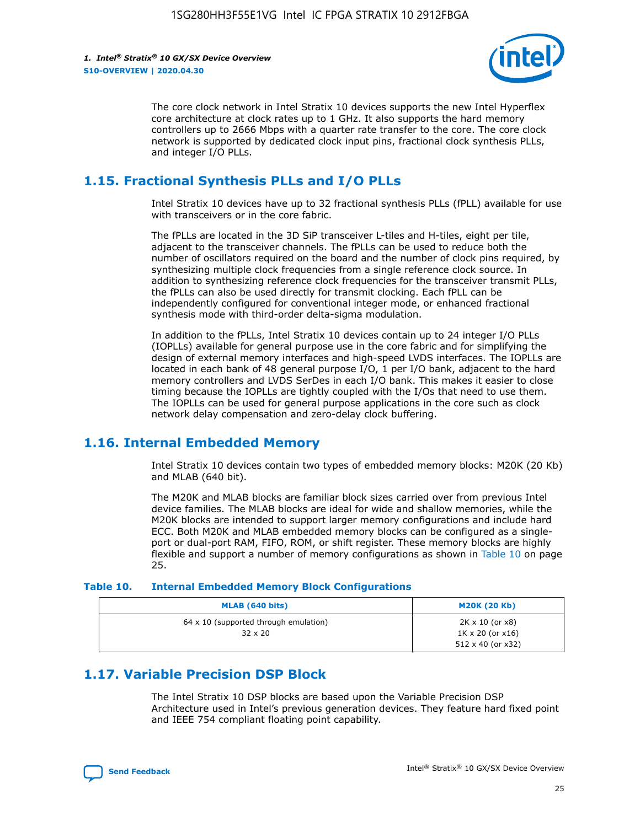

The core clock network in Intel Stratix 10 devices supports the new Intel Hyperflex core architecture at clock rates up to 1 GHz. It also supports the hard memory controllers up to 2666 Mbps with a quarter rate transfer to the core. The core clock network is supported by dedicated clock input pins, fractional clock synthesis PLLs, and integer I/O PLLs.

# **1.15. Fractional Synthesis PLLs and I/O PLLs**

Intel Stratix 10 devices have up to 32 fractional synthesis PLLs (fPLL) available for use with transceivers or in the core fabric.

The fPLLs are located in the 3D SiP transceiver L-tiles and H-tiles, eight per tile, adjacent to the transceiver channels. The fPLLs can be used to reduce both the number of oscillators required on the board and the number of clock pins required, by synthesizing multiple clock frequencies from a single reference clock source. In addition to synthesizing reference clock frequencies for the transceiver transmit PLLs, the fPLLs can also be used directly for transmit clocking. Each fPLL can be independently configured for conventional integer mode, or enhanced fractional synthesis mode with third-order delta-sigma modulation.

In addition to the fPLLs, Intel Stratix 10 devices contain up to 24 integer I/O PLLs (IOPLLs) available for general purpose use in the core fabric and for simplifying the design of external memory interfaces and high-speed LVDS interfaces. The IOPLLs are located in each bank of 48 general purpose I/O, 1 per I/O bank, adjacent to the hard memory controllers and LVDS SerDes in each I/O bank. This makes it easier to close timing because the IOPLLs are tightly coupled with the I/Os that need to use them. The IOPLLs can be used for general purpose applications in the core such as clock network delay compensation and zero-delay clock buffering.

# **1.16. Internal Embedded Memory**

Intel Stratix 10 devices contain two types of embedded memory blocks: M20K (20 Kb) and MLAB (640 bit).

The M20K and MLAB blocks are familiar block sizes carried over from previous Intel device families. The MLAB blocks are ideal for wide and shallow memories, while the M20K blocks are intended to support larger memory configurations and include hard ECC. Both M20K and MLAB embedded memory blocks can be configured as a singleport or dual-port RAM, FIFO, ROM, or shift register. These memory blocks are highly flexible and support a number of memory configurations as shown in Table 10 on page 25.

#### **Table 10. Internal Embedded Memory Block Configurations**

| MLAB (640 bits)                                                | <b>M20K (20 Kb)</b>                                                                    |
|----------------------------------------------------------------|----------------------------------------------------------------------------------------|
| $64 \times 10$ (supported through emulation)<br>$32 \times 20$ | $2K \times 10$ (or $x8$ )<br>$1K \times 20$ (or $x16$ )<br>$512 \times 40$ (or $x32$ ) |

# **1.17. Variable Precision DSP Block**

The Intel Stratix 10 DSP blocks are based upon the Variable Precision DSP Architecture used in Intel's previous generation devices. They feature hard fixed point and IEEE 754 compliant floating point capability.

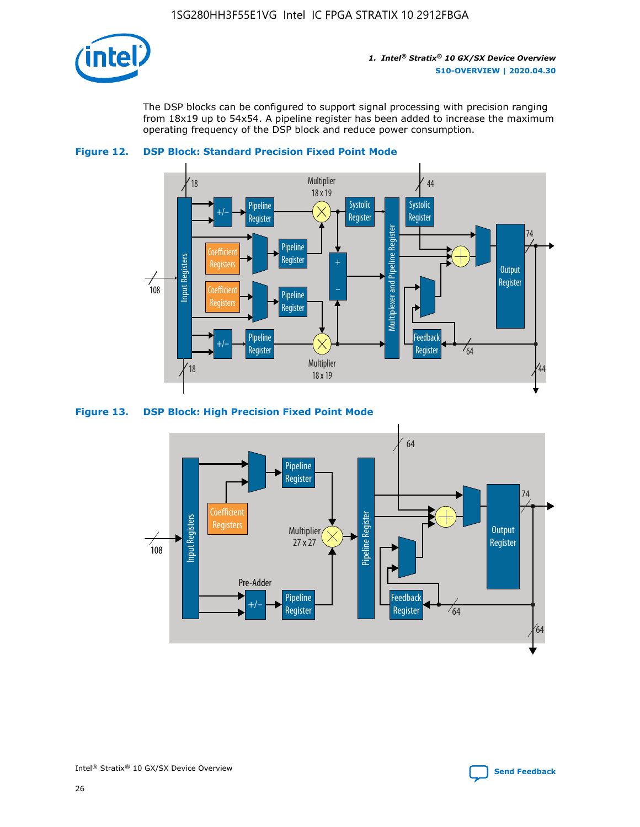

The DSP blocks can be configured to support signal processing with precision ranging from 18x19 up to 54x54. A pipeline register has been added to increase the maximum operating frequency of the DSP block and reduce power consumption.





#### **Figure 13. DSP Block: High Precision Fixed Point Mode**



Intel<sup>®</sup> Stratix<sup>®</sup> 10 GX/SX Device Overview **[Send Feedback](mailto:FPGAtechdocfeedback@intel.com?subject=Feedback%20on%20Intel%20Stratix%2010%20GX/SX%20Device%20Overview%20(S10-OVERVIEW%202020.04.30)&body=We%20appreciate%20your%20feedback.%20In%20your%20comments,%20also%20specify%20the%20page%20number%20or%20paragraph.%20Thank%20you.)** Send Feedback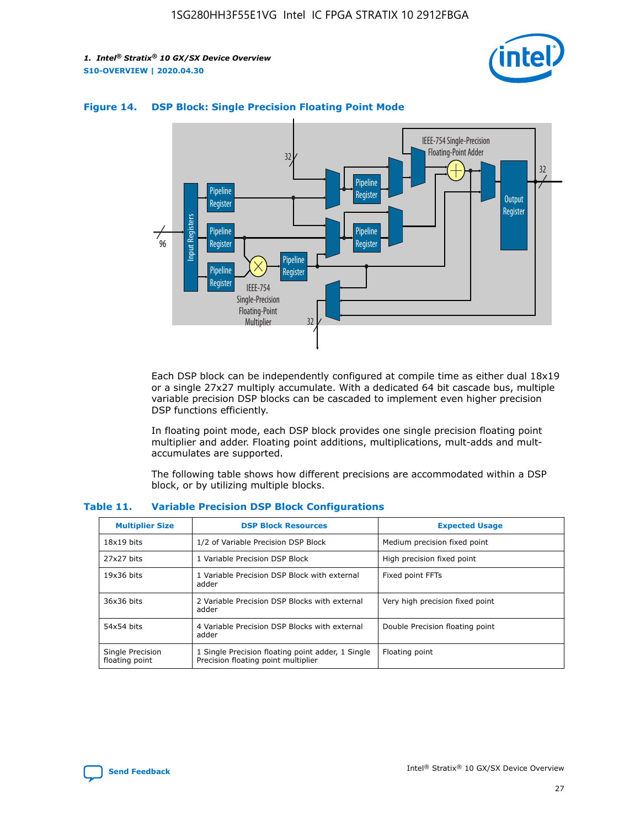



#### **Figure 14. DSP Block: Single Precision Floating Point Mode**

Each DSP block can be independently configured at compile time as either dual 18x19 or a single 27x27 multiply accumulate. With a dedicated 64 bit cascade bus, multiple variable precision DSP blocks can be cascaded to implement even higher precision DSP functions efficiently.

In floating point mode, each DSP block provides one single precision floating point multiplier and adder. Floating point additions, multiplications, mult-adds and multaccumulates are supported.

The following table shows how different precisions are accommodated within a DSP block, or by utilizing multiple blocks.

| <b>Multiplier Size</b>             | <b>DSP Block Resources</b>                                                               | <b>Expected Usage</b>           |
|------------------------------------|------------------------------------------------------------------------------------------|---------------------------------|
| $18x19$ bits                       | 1/2 of Variable Precision DSP Block                                                      | Medium precision fixed point    |
| 27x27 bits                         | 1 Variable Precision DSP Block                                                           | High precision fixed point      |
| $19x36$ bits                       | 1 Variable Precision DSP Block with external<br>adder                                    | Fixed point FFTs                |
| 36x36 bits                         | 2 Variable Precision DSP Blocks with external<br>adder                                   | Very high precision fixed point |
| 54x54 bits                         | 4 Variable Precision DSP Blocks with external<br>adder                                   | Double Precision floating point |
| Single Precision<br>floating point | 1 Single Precision floating point adder, 1 Single<br>Precision floating point multiplier | Floating point                  |

#### **Table 11. Variable Precision DSP Block Configurations**

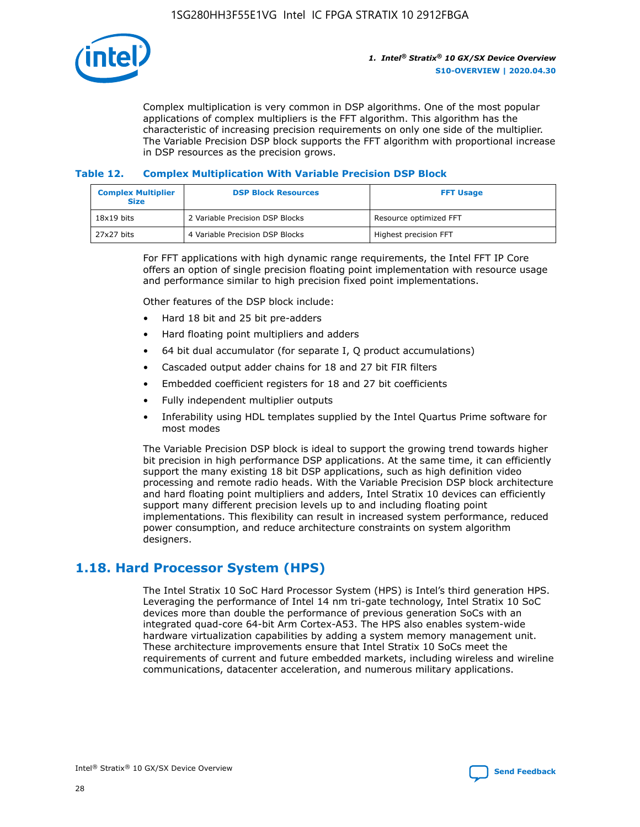

Complex multiplication is very common in DSP algorithms. One of the most popular applications of complex multipliers is the FFT algorithm. This algorithm has the characteristic of increasing precision requirements on only one side of the multiplier. The Variable Precision DSP block supports the FFT algorithm with proportional increase in DSP resources as the precision grows.

#### **Table 12. Complex Multiplication With Variable Precision DSP Block**

| <b>Complex Multiplier</b><br><b>Size</b> | <b>DSP Block Resources</b>      | <b>FFT Usage</b>       |
|------------------------------------------|---------------------------------|------------------------|
| $18x19$ bits                             | 2 Variable Precision DSP Blocks | Resource optimized FFT |
| 27x27 bits                               | 4 Variable Precision DSP Blocks | Highest precision FFT  |

For FFT applications with high dynamic range requirements, the Intel FFT IP Core offers an option of single precision floating point implementation with resource usage and performance similar to high precision fixed point implementations.

Other features of the DSP block include:

- Hard 18 bit and 25 bit pre-adders
- Hard floating point multipliers and adders
- 64 bit dual accumulator (for separate I, Q product accumulations)
- Cascaded output adder chains for 18 and 27 bit FIR filters
- Embedded coefficient registers for 18 and 27 bit coefficients
- Fully independent multiplier outputs
- Inferability using HDL templates supplied by the Intel Quartus Prime software for most modes

The Variable Precision DSP block is ideal to support the growing trend towards higher bit precision in high performance DSP applications. At the same time, it can efficiently support the many existing 18 bit DSP applications, such as high definition video processing and remote radio heads. With the Variable Precision DSP block architecture and hard floating point multipliers and adders, Intel Stratix 10 devices can efficiently support many different precision levels up to and including floating point implementations. This flexibility can result in increased system performance, reduced power consumption, and reduce architecture constraints on system algorithm designers.

# **1.18. Hard Processor System (HPS)**

The Intel Stratix 10 SoC Hard Processor System (HPS) is Intel's third generation HPS. Leveraging the performance of Intel 14 nm tri-gate technology, Intel Stratix 10 SoC devices more than double the performance of previous generation SoCs with an integrated quad-core 64-bit Arm Cortex-A53. The HPS also enables system-wide hardware virtualization capabilities by adding a system memory management unit. These architecture improvements ensure that Intel Stratix 10 SoCs meet the requirements of current and future embedded markets, including wireless and wireline communications, datacenter acceleration, and numerous military applications.

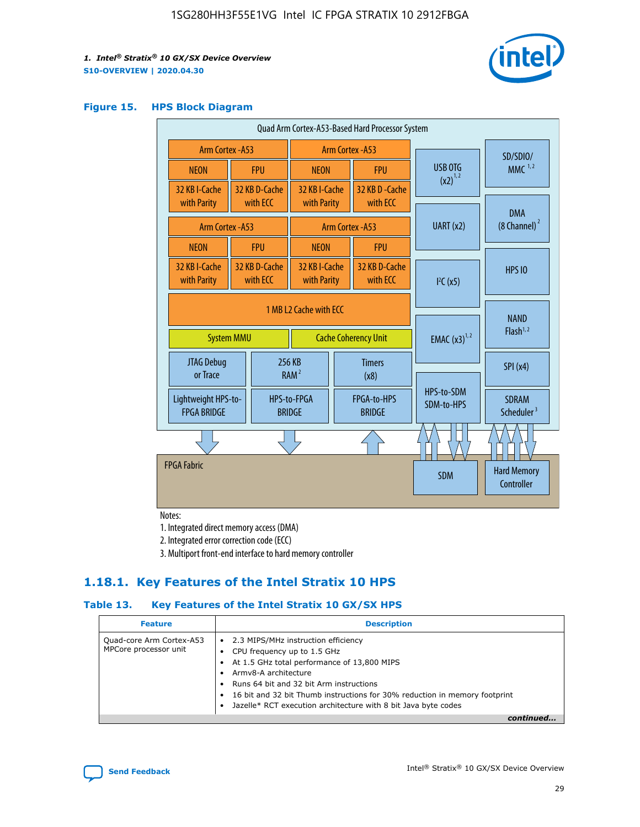

#### **Figure 15. HPS Block Diagram**

| Quad Arm Cortex-A53-Based Hard Processor System |                        |                           |                                                     |  |                              |  |                          |                                        |
|-------------------------------------------------|------------------------|---------------------------|-----------------------------------------------------|--|------------------------------|--|--------------------------|----------------------------------------|
| <b>Arm Cortex - A53</b>                         |                        |                           | Arm Cortex - A53                                    |  |                              |  | SD/SDIO/                 |                                        |
| <b>NEON</b>                                     |                        | <b>FPU</b>                | <b>NEON</b>                                         |  | <b>FPU</b>                   |  | USB OTG<br>$(x2)^{1,2}$  | $MMC$ <sup>1,2</sup>                   |
| 32 KB I-Cache                                   |                        | 32 KB D-Cache             | 32 KB I-Cache                                       |  | 32 KB D - Cache              |  |                          |                                        |
| with Parity                                     |                        | with ECC                  | with Parity                                         |  | with ECC                     |  |                          | <b>DMA</b>                             |
| Arm Cortex - A53                                |                        |                           |                                                     |  | Arm Cortex - A53             |  | UART (x2)                | $(8 \text{ Channel})^2$                |
| <b>NEON</b>                                     |                        | <b>FPU</b>                | <b>NEON</b>                                         |  | <b>FPU</b>                   |  |                          |                                        |
| 32 KB I-Cache<br>with Parity                    |                        | 32 KB D-Cache<br>with ECC | 32 KB I-Cache<br>32 KB D-Cache<br>with Parity       |  | with ECC                     |  | I <sup>2</sup> C(x5)     | <b>HPS 10</b>                          |
|                                                 | 1 MB L2 Cache with ECC |                           |                                                     |  |                              |  |                          |                                        |
| <b>System MMU</b>                               |                        |                           | <b>Cache Coherency Unit</b>                         |  |                              |  | <b>EMAC</b> $(x3)^{1,2}$ | <b>NAND</b><br>Flash <sup>1,2</sup>    |
| JTAG Debug<br>or Trace                          |                        |                           | 256 KB<br><b>Timers</b><br>RAM <sup>2</sup><br>(x8) |  |                              |  | SPI(x4)                  |                                        |
| Lightweight HPS-to-<br><b>FPGA BRIDGE</b>       |                        |                           | HPS-to-FPGA<br><b>BRIDGE</b>                        |  | FPGA-to-HPS<br><b>BRIDGE</b> |  | HPS-to-SDM<br>SDM-to-HPS | <b>SDRAM</b><br>Scheduler <sup>3</sup> |
|                                                 |                        |                           |                                                     |  |                              |  |                          |                                        |
| <b>FPGA Fabric</b>                              |                        |                           |                                                     |  |                              |  | <b>SDM</b>               | <b>Hard Memory</b><br>Controller       |
|                                                 |                        |                           |                                                     |  |                              |  |                          |                                        |

Notes:

1. Integrated direct memory access (DMA)

2. Integrated error correction code (ECC)

3. Multiport front-end interface to hard memory controller

# **1.18.1. Key Features of the Intel Stratix 10 HPS**

#### **Table 13. Key Features of the Intel Stratix 10 GX/SX HPS**

| <b>Feature</b>                                    | <b>Description</b>                                                                                                                                                                                                                                                                                                                     |
|---------------------------------------------------|----------------------------------------------------------------------------------------------------------------------------------------------------------------------------------------------------------------------------------------------------------------------------------------------------------------------------------------|
| Quad-core Arm Cortex-A53<br>MPCore processor unit | • 2.3 MIPS/MHz instruction efficiency<br>CPU frequency up to 1.5 GHz<br>At 1.5 GHz total performance of 13,800 MIPS<br>Army8-A architecture<br>Runs 64 bit and 32 bit Arm instructions<br>16 bit and 32 bit Thumb instructions for 30% reduction in memory footprint<br>Jazelle* RCT execution architecture with 8 bit Java byte codes |
|                                                   |                                                                                                                                                                                                                                                                                                                                        |

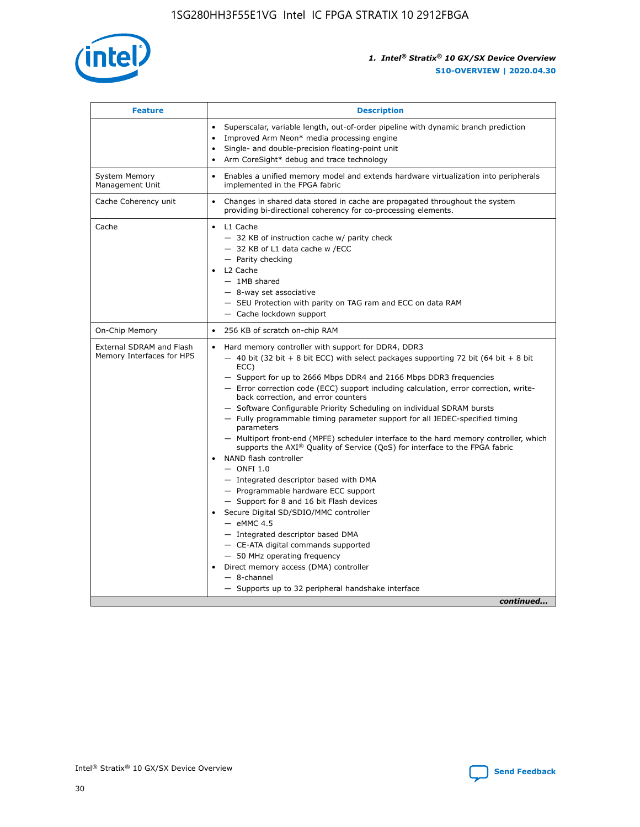

| <b>Feature</b>                                        | <b>Description</b>                                                                                                                                                                                                                                                                                                                                                                                                                                                                                                                                                                                                                                                                                                                                                                                                                                                                                                                                                                                                                                                                                                                                                                                                     |
|-------------------------------------------------------|------------------------------------------------------------------------------------------------------------------------------------------------------------------------------------------------------------------------------------------------------------------------------------------------------------------------------------------------------------------------------------------------------------------------------------------------------------------------------------------------------------------------------------------------------------------------------------------------------------------------------------------------------------------------------------------------------------------------------------------------------------------------------------------------------------------------------------------------------------------------------------------------------------------------------------------------------------------------------------------------------------------------------------------------------------------------------------------------------------------------------------------------------------------------------------------------------------------------|
|                                                       | Superscalar, variable length, out-of-order pipeline with dynamic branch prediction<br>Improved Arm Neon* media processing engine<br>$\bullet$<br>Single- and double-precision floating-point unit<br>Arm CoreSight* debug and trace technology<br>$\bullet$                                                                                                                                                                                                                                                                                                                                                                                                                                                                                                                                                                                                                                                                                                                                                                                                                                                                                                                                                            |
| <b>System Memory</b><br>Management Unit               | Enables a unified memory model and extends hardware virtualization into peripherals<br>$\bullet$<br>implemented in the FPGA fabric                                                                                                                                                                                                                                                                                                                                                                                                                                                                                                                                                                                                                                                                                                                                                                                                                                                                                                                                                                                                                                                                                     |
| Cache Coherency unit                                  | $\bullet$<br>Changes in shared data stored in cache are propagated throughout the system<br>providing bi-directional coherency for co-processing elements.                                                                                                                                                                                                                                                                                                                                                                                                                                                                                                                                                                                                                                                                                                                                                                                                                                                                                                                                                                                                                                                             |
| Cache                                                 | L1 Cache<br>$\bullet$<br>- 32 KB of instruction cache w/ parity check<br>- 32 KB of L1 data cache w /ECC<br>- Parity checking<br>L2 Cache<br>$-$ 1MB shared<br>- 8-way set associative<br>- SEU Protection with parity on TAG ram and ECC on data RAM<br>- Cache lockdown support                                                                                                                                                                                                                                                                                                                                                                                                                                                                                                                                                                                                                                                                                                                                                                                                                                                                                                                                      |
| On-Chip Memory                                        | 256 KB of scratch on-chip RAM<br>$\bullet$                                                                                                                                                                                                                                                                                                                                                                                                                                                                                                                                                                                                                                                                                                                                                                                                                                                                                                                                                                                                                                                                                                                                                                             |
| External SDRAM and Flash<br>Memory Interfaces for HPS | Hard memory controller with support for DDR4, DDR3<br>$\bullet$<br>$-$ 40 bit (32 bit + 8 bit ECC) with select packages supporting 72 bit (64 bit + 8 bit<br>ECC)<br>- Support for up to 2666 Mbps DDR4 and 2166 Mbps DDR3 frequencies<br>- Error correction code (ECC) support including calculation, error correction, write-<br>back correction, and error counters<br>- Software Configurable Priority Scheduling on individual SDRAM bursts<br>- Fully programmable timing parameter support for all JEDEC-specified timing<br>parameters<br>- Multiport front-end (MPFE) scheduler interface to the hard memory controller, which<br>supports the $AXI^{\circledR}$ Quality of Service (QoS) for interface to the FPGA fabric<br>NAND flash controller<br>$-$ ONFI 1.0<br>- Integrated descriptor based with DMA<br>- Programmable hardware ECC support<br>- Support for 8 and 16 bit Flash devices<br>Secure Digital SD/SDIO/MMC controller<br>$-$ eMMC 4.5<br>- Integrated descriptor based DMA<br>- CE-ATA digital commands supported<br>- 50 MHz operating frequency<br>Direct memory access (DMA) controller<br>$\bullet$<br>- 8-channel<br>- Supports up to 32 peripheral handshake interface<br>continued |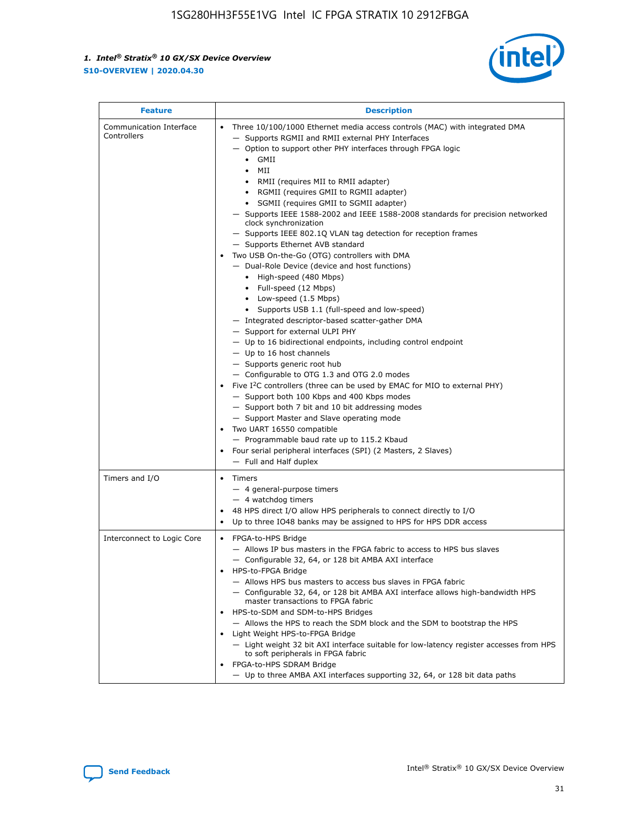

| <b>Feature</b>                         | <b>Description</b>                                                                                                                                                                                                                                                                                                                                                                                                                                                                                                                                                                                                                                                                                                                                                                                                                                                                                                                                                                                                                                                                                                                                                                                                                                                                                                                                                                                                                                                                                                  |
|----------------------------------------|---------------------------------------------------------------------------------------------------------------------------------------------------------------------------------------------------------------------------------------------------------------------------------------------------------------------------------------------------------------------------------------------------------------------------------------------------------------------------------------------------------------------------------------------------------------------------------------------------------------------------------------------------------------------------------------------------------------------------------------------------------------------------------------------------------------------------------------------------------------------------------------------------------------------------------------------------------------------------------------------------------------------------------------------------------------------------------------------------------------------------------------------------------------------------------------------------------------------------------------------------------------------------------------------------------------------------------------------------------------------------------------------------------------------------------------------------------------------------------------------------------------------|
| Communication Interface<br>Controllers | Three 10/100/1000 Ethernet media access controls (MAC) with integrated DMA<br>$\bullet$<br>- Supports RGMII and RMII external PHY Interfaces<br>- Option to support other PHY interfaces through FPGA logic<br>GMII<br>$\bullet$<br>MII<br>$\bullet$<br>• RMII (requires MII to RMII adapter)<br>• RGMII (requires GMII to RGMII adapter)<br>• SGMII (requires GMII to SGMII adapter)<br>- Supports IEEE 1588-2002 and IEEE 1588-2008 standards for precision networked<br>clock synchronization<br>- Supports IEEE 802.1Q VLAN tag detection for reception frames<br>- Supports Ethernet AVB standard<br>Two USB On-the-Go (OTG) controllers with DMA<br>- Dual-Role Device (device and host functions)<br>• High-speed (480 Mbps)<br>• Full-speed (12 Mbps)<br>• Low-speed (1.5 Mbps)<br>• Supports USB 1.1 (full-speed and low-speed)<br>- Integrated descriptor-based scatter-gather DMA<br>- Support for external ULPI PHY<br>- Up to 16 bidirectional endpoints, including control endpoint<br>$-$ Up to 16 host channels<br>- Supports generic root hub<br>- Configurable to OTG 1.3 and OTG 2.0 modes<br>Five $I^2C$ controllers (three can be used by EMAC for MIO to external PHY)<br>- Support both 100 Kbps and 400 Kbps modes<br>- Support both 7 bit and 10 bit addressing modes<br>- Support Master and Slave operating mode<br>Two UART 16550 compatible<br>- Programmable baud rate up to 115.2 Kbaud<br>• Four serial peripheral interfaces (SPI) (2 Masters, 2 Slaves)<br>- Full and Half duplex |
| Timers and I/O                         | $\bullet$ Timers<br>- 4 general-purpose timers<br>$-4$ watchdog timers<br>48 HPS direct I/O allow HPS peripherals to connect directly to I/O<br>Up to three IO48 banks may be assigned to HPS for HPS DDR access                                                                                                                                                                                                                                                                                                                                                                                                                                                                                                                                                                                                                                                                                                                                                                                                                                                                                                                                                                                                                                                                                                                                                                                                                                                                                                    |
| Interconnect to Logic Core             | • FPGA-to-HPS Bridge<br>- Allows IP bus masters in the FPGA fabric to access to HPS bus slaves<br>- Configurable 32, 64, or 128 bit AMBA AXI interface<br>HPS-to-FPGA Bridge<br>- Allows HPS bus masters to access bus slaves in FPGA fabric<br>- Configurable 32, 64, or 128 bit AMBA AXI interface allows high-bandwidth HPS<br>master transactions to FPGA fabric<br>HPS-to-SDM and SDM-to-HPS Bridges<br>- Allows the HPS to reach the SDM block and the SDM to bootstrap the HPS<br>Light Weight HPS-to-FPGA Bridge<br>- Light weight 32 bit AXI interface suitable for low-latency register accesses from HPS<br>to soft peripherals in FPGA fabric<br>FPGA-to-HPS SDRAM Bridge<br>- Up to three AMBA AXI interfaces supporting 32, 64, or 128 bit data paths                                                                                                                                                                                                                                                                                                                                                                                                                                                                                                                                                                                                                                                                                                                                                 |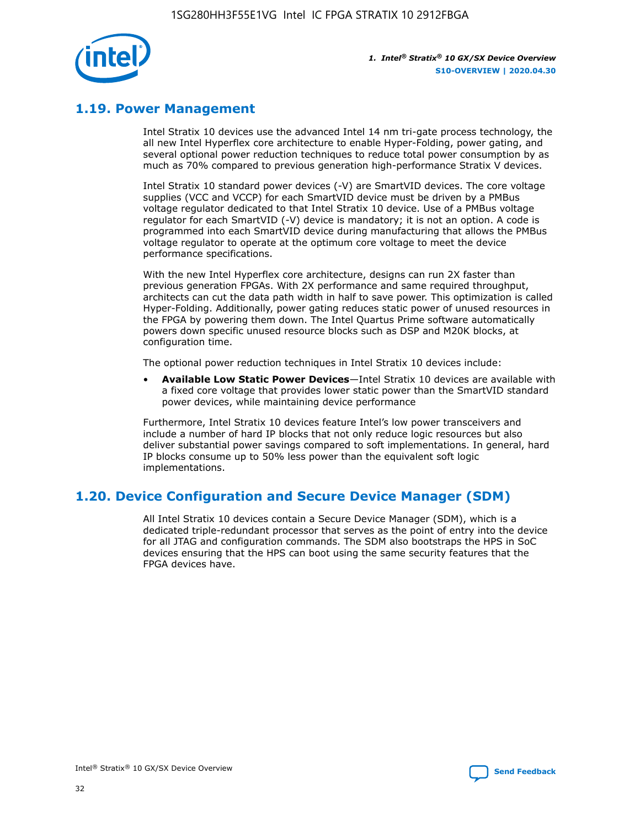

# **1.19. Power Management**

Intel Stratix 10 devices use the advanced Intel 14 nm tri-gate process technology, the all new Intel Hyperflex core architecture to enable Hyper-Folding, power gating, and several optional power reduction techniques to reduce total power consumption by as much as 70% compared to previous generation high-performance Stratix V devices.

Intel Stratix 10 standard power devices (-V) are SmartVID devices. The core voltage supplies (VCC and VCCP) for each SmartVID device must be driven by a PMBus voltage regulator dedicated to that Intel Stratix 10 device. Use of a PMBus voltage regulator for each SmartVID (-V) device is mandatory; it is not an option. A code is programmed into each SmartVID device during manufacturing that allows the PMBus voltage regulator to operate at the optimum core voltage to meet the device performance specifications.

With the new Intel Hyperflex core architecture, designs can run 2X faster than previous generation FPGAs. With 2X performance and same required throughput, architects can cut the data path width in half to save power. This optimization is called Hyper-Folding. Additionally, power gating reduces static power of unused resources in the FPGA by powering them down. The Intel Quartus Prime software automatically powers down specific unused resource blocks such as DSP and M20K blocks, at configuration time.

The optional power reduction techniques in Intel Stratix 10 devices include:

• **Available Low Static Power Devices**—Intel Stratix 10 devices are available with a fixed core voltage that provides lower static power than the SmartVID standard power devices, while maintaining device performance

Furthermore, Intel Stratix 10 devices feature Intel's low power transceivers and include a number of hard IP blocks that not only reduce logic resources but also deliver substantial power savings compared to soft implementations. In general, hard IP blocks consume up to 50% less power than the equivalent soft logic implementations.

# **1.20. Device Configuration and Secure Device Manager (SDM)**

All Intel Stratix 10 devices contain a Secure Device Manager (SDM), which is a dedicated triple-redundant processor that serves as the point of entry into the device for all JTAG and configuration commands. The SDM also bootstraps the HPS in SoC devices ensuring that the HPS can boot using the same security features that the FPGA devices have.

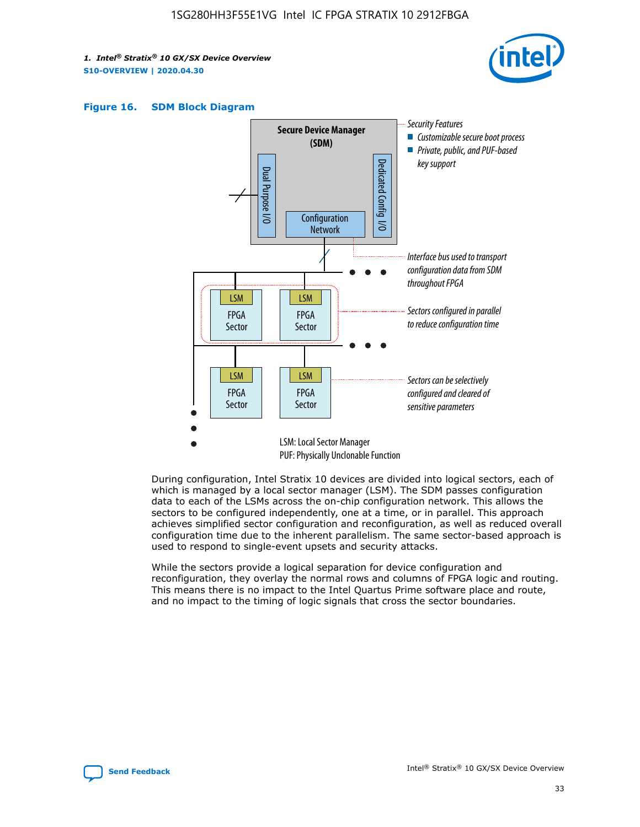





During configuration, Intel Stratix 10 devices are divided into logical sectors, each of which is managed by a local sector manager (LSM). The SDM passes configuration data to each of the LSMs across the on-chip configuration network. This allows the sectors to be configured independently, one at a time, or in parallel. This approach achieves simplified sector configuration and reconfiguration, as well as reduced overall configuration time due to the inherent parallelism. The same sector-based approach is used to respond to single-event upsets and security attacks.

While the sectors provide a logical separation for device configuration and reconfiguration, they overlay the normal rows and columns of FPGA logic and routing. This means there is no impact to the Intel Quartus Prime software place and route, and no impact to the timing of logic signals that cross the sector boundaries.

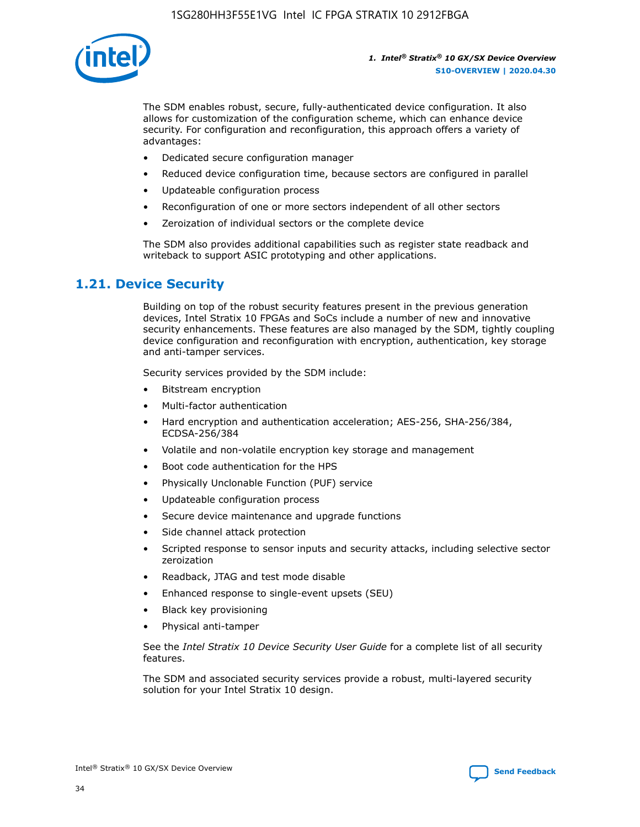

The SDM enables robust, secure, fully-authenticated device configuration. It also allows for customization of the configuration scheme, which can enhance device security. For configuration and reconfiguration, this approach offers a variety of advantages:

- Dedicated secure configuration manager
- Reduced device configuration time, because sectors are configured in parallel
- Updateable configuration process
- Reconfiguration of one or more sectors independent of all other sectors
- Zeroization of individual sectors or the complete device

The SDM also provides additional capabilities such as register state readback and writeback to support ASIC prototyping and other applications.

## **1.21. Device Security**

Building on top of the robust security features present in the previous generation devices, Intel Stratix 10 FPGAs and SoCs include a number of new and innovative security enhancements. These features are also managed by the SDM, tightly coupling device configuration and reconfiguration with encryption, authentication, key storage and anti-tamper services.

Security services provided by the SDM include:

- Bitstream encryption
- Multi-factor authentication
- Hard encryption and authentication acceleration; AES-256, SHA-256/384, ECDSA-256/384
- Volatile and non-volatile encryption key storage and management
- Boot code authentication for the HPS
- Physically Unclonable Function (PUF) service
- Updateable configuration process
- Secure device maintenance and upgrade functions
- Side channel attack protection
- Scripted response to sensor inputs and security attacks, including selective sector zeroization
- Readback, JTAG and test mode disable
- Enhanced response to single-event upsets (SEU)
- Black key provisioning
- Physical anti-tamper

See the *Intel Stratix 10 Device Security User Guide* for a complete list of all security features.

The SDM and associated security services provide a robust, multi-layered security solution for your Intel Stratix 10 design.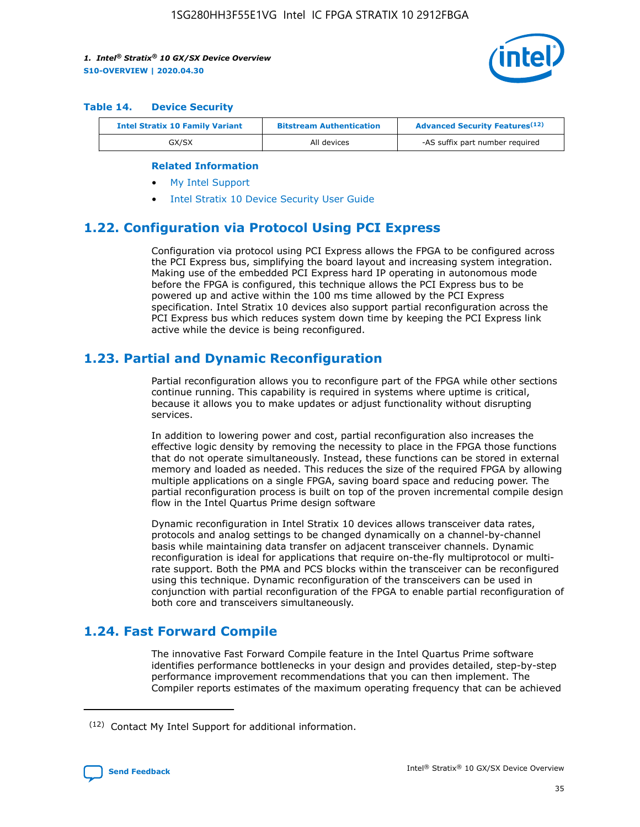

#### **Table 14. Device Security**

| <b>Intel Stratix 10 Family Variant</b> | <b>Bitstream Authentication</b> | <b>Advanced Security Features</b> <sup>(12)</sup> |
|----------------------------------------|---------------------------------|---------------------------------------------------|
| GX/SX                                  | All devices                     | -AS suffix part number required                   |

#### **Related Information**

- [My Intel Support](https://www.intel.com/content/www/us/en/programmable/my-intel/mal-home.html)
- [Intel Stratix 10 Device Security User Guide](https://www.intel.com/content/www/us/en/programmable/documentation/ndq1483601370898.html#wcd1483611014402)

## **1.22. Configuration via Protocol Using PCI Express**

Configuration via protocol using PCI Express allows the FPGA to be configured across the PCI Express bus, simplifying the board layout and increasing system integration. Making use of the embedded PCI Express hard IP operating in autonomous mode before the FPGA is configured, this technique allows the PCI Express bus to be powered up and active within the 100 ms time allowed by the PCI Express specification. Intel Stratix 10 devices also support partial reconfiguration across the PCI Express bus which reduces system down time by keeping the PCI Express link active while the device is being reconfigured.

## **1.23. Partial and Dynamic Reconfiguration**

Partial reconfiguration allows you to reconfigure part of the FPGA while other sections continue running. This capability is required in systems where uptime is critical, because it allows you to make updates or adjust functionality without disrupting services.

In addition to lowering power and cost, partial reconfiguration also increases the effective logic density by removing the necessity to place in the FPGA those functions that do not operate simultaneously. Instead, these functions can be stored in external memory and loaded as needed. This reduces the size of the required FPGA by allowing multiple applications on a single FPGA, saving board space and reducing power. The partial reconfiguration process is built on top of the proven incremental compile design flow in the Intel Quartus Prime design software

Dynamic reconfiguration in Intel Stratix 10 devices allows transceiver data rates, protocols and analog settings to be changed dynamically on a channel-by-channel basis while maintaining data transfer on adjacent transceiver channels. Dynamic reconfiguration is ideal for applications that require on-the-fly multiprotocol or multirate support. Both the PMA and PCS blocks within the transceiver can be reconfigured using this technique. Dynamic reconfiguration of the transceivers can be used in conjunction with partial reconfiguration of the FPGA to enable partial reconfiguration of both core and transceivers simultaneously.

# **1.24. Fast Forward Compile**

The innovative Fast Forward Compile feature in the Intel Quartus Prime software identifies performance bottlenecks in your design and provides detailed, step-by-step performance improvement recommendations that you can then implement. The Compiler reports estimates of the maximum operating frequency that can be achieved

<sup>(12)</sup> Contact My Intel Support for additional information.

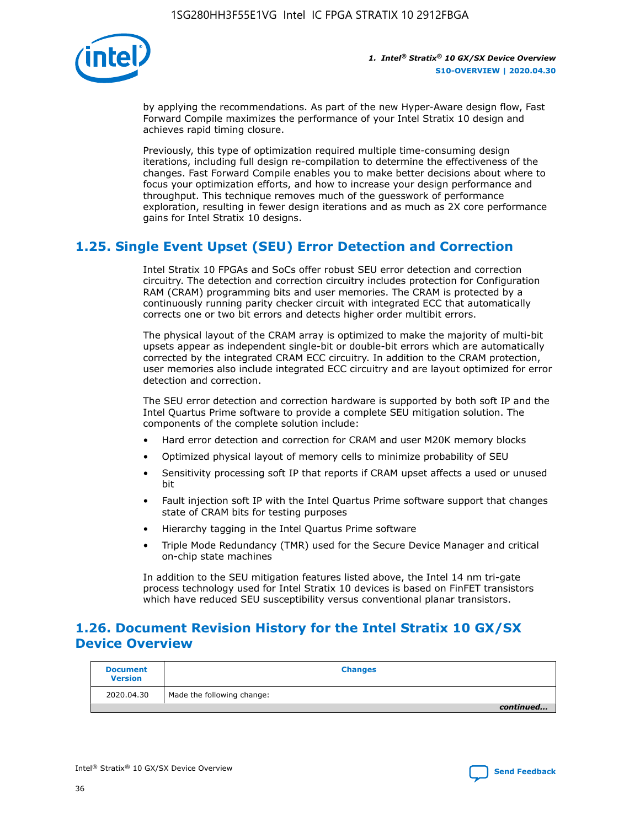

by applying the recommendations. As part of the new Hyper-Aware design flow, Fast Forward Compile maximizes the performance of your Intel Stratix 10 design and achieves rapid timing closure.

Previously, this type of optimization required multiple time-consuming design iterations, including full design re-compilation to determine the effectiveness of the changes. Fast Forward Compile enables you to make better decisions about where to focus your optimization efforts, and how to increase your design performance and throughput. This technique removes much of the guesswork of performance exploration, resulting in fewer design iterations and as much as 2X core performance gains for Intel Stratix 10 designs.

# **1.25. Single Event Upset (SEU) Error Detection and Correction**

Intel Stratix 10 FPGAs and SoCs offer robust SEU error detection and correction circuitry. The detection and correction circuitry includes protection for Configuration RAM (CRAM) programming bits and user memories. The CRAM is protected by a continuously running parity checker circuit with integrated ECC that automatically corrects one or two bit errors and detects higher order multibit errors.

The physical layout of the CRAM array is optimized to make the majority of multi-bit upsets appear as independent single-bit or double-bit errors which are automatically corrected by the integrated CRAM ECC circuitry. In addition to the CRAM protection, user memories also include integrated ECC circuitry and are layout optimized for error detection and correction.

The SEU error detection and correction hardware is supported by both soft IP and the Intel Quartus Prime software to provide a complete SEU mitigation solution. The components of the complete solution include:

- Hard error detection and correction for CRAM and user M20K memory blocks
- Optimized physical layout of memory cells to minimize probability of SEU
- Sensitivity processing soft IP that reports if CRAM upset affects a used or unused bit
- Fault injection soft IP with the Intel Quartus Prime software support that changes state of CRAM bits for testing purposes
- Hierarchy tagging in the Intel Quartus Prime software
- Triple Mode Redundancy (TMR) used for the Secure Device Manager and critical on-chip state machines

In addition to the SEU mitigation features listed above, the Intel 14 nm tri-gate process technology used for Intel Stratix 10 devices is based on FinFET transistors which have reduced SEU susceptibility versus conventional planar transistors.

# **1.26. Document Revision History for the Intel Stratix 10 GX/SX Device Overview**

| <b>Document</b><br><b>Version</b> | <b>Changes</b>             |
|-----------------------------------|----------------------------|
| 2020.04.30                        | Made the following change: |
|                                   | continued                  |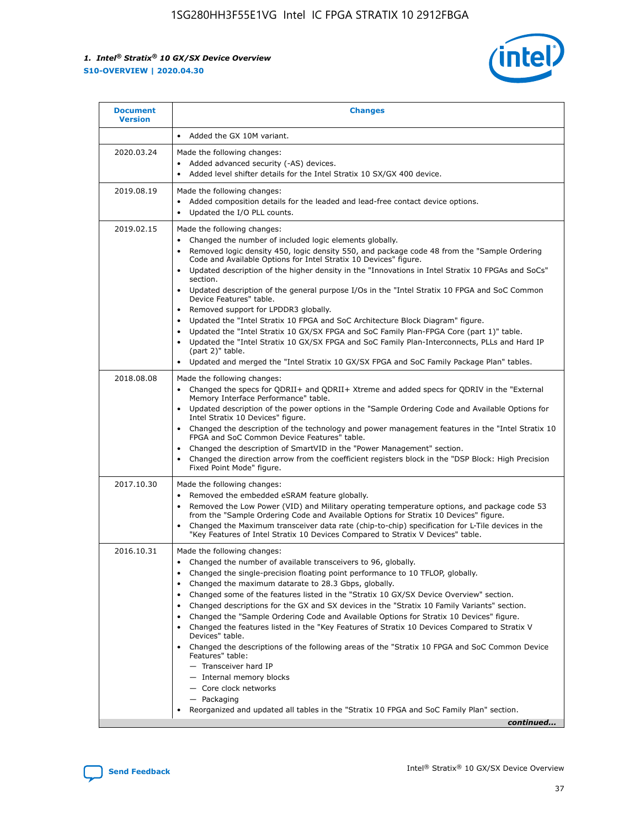

| <b>Document</b><br><b>Version</b> | <b>Changes</b>                                                                                                                                                                                                                                                                                                                                                                                                                                                                                                                                                                                                                                                                                                                                                                                                                                                                                                                                                                                       |
|-----------------------------------|------------------------------------------------------------------------------------------------------------------------------------------------------------------------------------------------------------------------------------------------------------------------------------------------------------------------------------------------------------------------------------------------------------------------------------------------------------------------------------------------------------------------------------------------------------------------------------------------------------------------------------------------------------------------------------------------------------------------------------------------------------------------------------------------------------------------------------------------------------------------------------------------------------------------------------------------------------------------------------------------------|
|                                   | Added the GX 10M variant.                                                                                                                                                                                                                                                                                                                                                                                                                                                                                                                                                                                                                                                                                                                                                                                                                                                                                                                                                                            |
| 2020.03.24                        | Made the following changes:<br>Added advanced security (-AS) devices.<br>Added level shifter details for the Intel Stratix 10 SX/GX 400 device.                                                                                                                                                                                                                                                                                                                                                                                                                                                                                                                                                                                                                                                                                                                                                                                                                                                      |
| 2019.08.19                        | Made the following changes:<br>Added composition details for the leaded and lead-free contact device options.<br>Updated the I/O PLL counts.                                                                                                                                                                                                                                                                                                                                                                                                                                                                                                                                                                                                                                                                                                                                                                                                                                                         |
| 2019.02.15                        | Made the following changes:<br>Changed the number of included logic elements globally.<br>Removed logic density 450, logic density 550, and package code 48 from the "Sample Ordering<br>$\bullet$<br>Code and Available Options for Intel Stratix 10 Devices" figure.<br>Updated description of the higher density in the "Innovations in Intel Stratix 10 FPGAs and SoCs"<br>section.<br>Updated description of the general purpose I/Os in the "Intel Stratix 10 FPGA and SoC Common<br>$\bullet$<br>Device Features" table.<br>Removed support for LPDDR3 globally.<br>Updated the "Intel Stratix 10 FPGA and SoC Architecture Block Diagram" figure.<br>Updated the "Intel Stratix 10 GX/SX FPGA and SoC Family Plan-FPGA Core (part 1)" table.<br>$\bullet$<br>Updated the "Intel Stratix 10 GX/SX FPGA and SoC Family Plan-Interconnects, PLLs and Hard IP<br>(part 2)" table.<br>Updated and merged the "Intel Stratix 10 GX/SX FPGA and SoC Family Package Plan" tables.                    |
| 2018.08.08                        | Made the following changes:<br>Changed the specs for QDRII+ and QDRII+ Xtreme and added specs for QDRIV in the "External<br>$\bullet$<br>Memory Interface Performance" table.<br>Updated description of the power options in the "Sample Ordering Code and Available Options for<br>Intel Stratix 10 Devices" figure.<br>Changed the description of the technology and power management features in the "Intel Stratix 10<br>FPGA and SoC Common Device Features" table.<br>Changed the description of SmartVID in the "Power Management" section.<br>Changed the direction arrow from the coefficient registers block in the "DSP Block: High Precision<br>Fixed Point Mode" figure.                                                                                                                                                                                                                                                                                                                |
| 2017.10.30                        | Made the following changes:<br>Removed the embedded eSRAM feature globally.<br>Removed the Low Power (VID) and Military operating temperature options, and package code 53<br>from the "Sample Ordering Code and Available Options for Stratix 10 Devices" figure.<br>Changed the Maximum transceiver data rate (chip-to-chip) specification for L-Tile devices in the<br>"Key Features of Intel Stratix 10 Devices Compared to Stratix V Devices" table.                                                                                                                                                                                                                                                                                                                                                                                                                                                                                                                                            |
| 2016.10.31                        | Made the following changes:<br>• Changed the number of available transceivers to 96, globally.<br>Changed the single-precision floating point performance to 10 TFLOP, globally.<br>Changed the maximum datarate to 28.3 Gbps, globally.<br>$\bullet$<br>Changed some of the features listed in the "Stratix 10 GX/SX Device Overview" section.<br>$\bullet$<br>Changed descriptions for the GX and SX devices in the "Stratix 10 Family Variants" section.<br>$\bullet$<br>Changed the "Sample Ordering Code and Available Options for Stratix 10 Devices" figure.<br>Changed the features listed in the "Key Features of Stratix 10 Devices Compared to Stratix V<br>Devices" table.<br>Changed the descriptions of the following areas of the "Stratix 10 FPGA and SoC Common Device<br>Features" table:<br>- Transceiver hard IP<br>- Internal memory blocks<br>- Core clock networks<br>- Packaging<br>Reorganized and updated all tables in the "Stratix 10 FPGA and SoC Family Plan" section. |
|                                   | continued                                                                                                                                                                                                                                                                                                                                                                                                                                                                                                                                                                                                                                                                                                                                                                                                                                                                                                                                                                                            |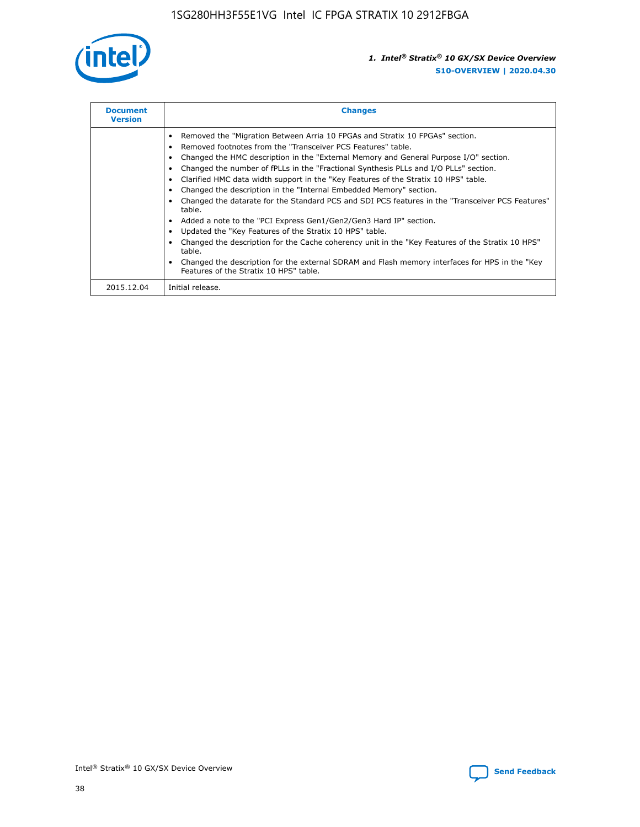

| <b>Document</b><br><b>Version</b> | <b>Changes</b>                                                                                                                                                                                                                                                                                                                                                                                                                                                                                                                                                                                                                                                                                                                                                                                                                                                                                                                                                                                     |  |
|-----------------------------------|----------------------------------------------------------------------------------------------------------------------------------------------------------------------------------------------------------------------------------------------------------------------------------------------------------------------------------------------------------------------------------------------------------------------------------------------------------------------------------------------------------------------------------------------------------------------------------------------------------------------------------------------------------------------------------------------------------------------------------------------------------------------------------------------------------------------------------------------------------------------------------------------------------------------------------------------------------------------------------------------------|--|
|                                   | Removed the "Migration Between Arria 10 FPGAs and Stratix 10 FPGAs" section.<br>Removed footnotes from the "Transceiver PCS Features" table.<br>Changed the HMC description in the "External Memory and General Purpose I/O" section.<br>Changed the number of fPLLs in the "Fractional Synthesis PLLs and I/O PLLs" section.<br>Clarified HMC data width support in the "Key Features of the Stratix 10 HPS" table.<br>Changed the description in the "Internal Embedded Memory" section.<br>Changed the datarate for the Standard PCS and SDI PCS features in the "Transceiver PCS Features"<br>table.<br>Added a note to the "PCI Express Gen1/Gen2/Gen3 Hard IP" section.<br>Updated the "Key Features of the Stratix 10 HPS" table.<br>Changed the description for the Cache coherency unit in the "Key Features of the Stratix 10 HPS"<br>table.<br>Changed the description for the external SDRAM and Flash memory interfaces for HPS in the "Key<br>Features of the Stratix 10 HPS" table. |  |
| 2015.12.04                        | Initial release.                                                                                                                                                                                                                                                                                                                                                                                                                                                                                                                                                                                                                                                                                                                                                                                                                                                                                                                                                                                   |  |